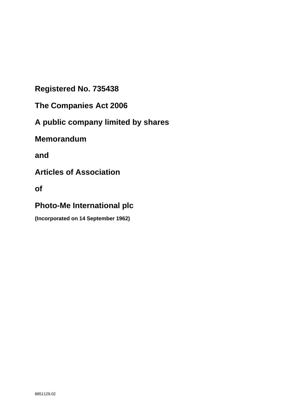**Registered No. 735438**

**The Companies Act 2006**

**A public company limited by shares**

**Memorandum**

**and**

**Articles of Association**

**of**

# **Photo-Me International plc**

**(Incorporated on 14 September 1962)**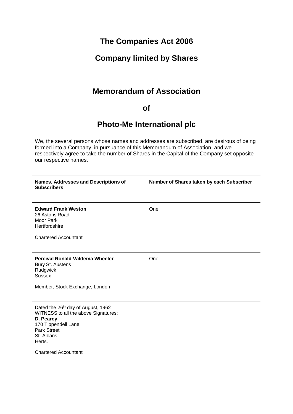# **The Companies Act 2006**

# **Company limited by Shares**

# **Memorandum of Association**

# **of**

# **Photo-Me International plc**

We, the several persons whose names and addresses are subscribed, are desirous of being formed into a Company, in pursuance of this Memorandum of Association, and we respectively agree to take the number of Shares in the Capital of the Company set opposite our respective names.

| Names, Addresses and Descriptions of<br><b>Subscribers</b>                                                                                                   | Number of Shares taken by each Subscriber |
|--------------------------------------------------------------------------------------------------------------------------------------------------------------|-------------------------------------------|
| <b>Edward Frank Weston</b><br>26 Astons Road<br>Moor Park<br>Hertfordshire                                                                                   | One                                       |
| <b>Chartered Accountant</b>                                                                                                                                  |                                           |
| <b>Percival Ronald Valdema Wheeler</b><br>Bury St. Austens<br>Rudgwick<br><b>Sussex</b>                                                                      | One                                       |
| Member, Stock Exchange, London                                                                                                                               |                                           |
| Dated the 26th day of August, 1962<br>WITNESS to all the above Signatures:<br>D. Pearcy<br>170 Tippendell Lane<br><b>Park Street</b><br>St. Albans<br>Herts. |                                           |
| <b>Chartered Accountant</b>                                                                                                                                  |                                           |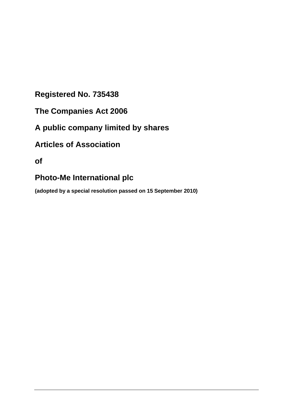# **Registered No. 735438**

- **The Companies Act 2006**
- **A public company limited by shares**

# **Articles of Association**

**of**

# **Photo-Me International plc**

**(adopted by a special resolution passed on 15 September 2010)**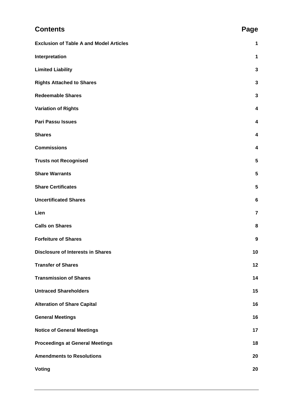| <b>Contents</b>                                | Page           |
|------------------------------------------------|----------------|
| <b>Exclusion of Table A and Model Articles</b> | $\mathbf 1$    |
| Interpretation                                 | 1              |
| <b>Limited Liability</b>                       | 3              |
| <b>Rights Attached to Shares</b>               | 3              |
| <b>Redeemable Shares</b>                       | 3              |
| <b>Variation of Rights</b>                     | 4              |
| <b>Pari Passu Issues</b>                       | 4              |
| <b>Shares</b>                                  | 4              |
| <b>Commissions</b>                             | 4              |
| <b>Trusts not Recognised</b>                   | 5              |
| <b>Share Warrants</b>                          | 5              |
| <b>Share Certificates</b>                      | 5              |
| <b>Uncertificated Shares</b>                   | 6              |
| Lien                                           | $\overline{7}$ |
| <b>Calls on Shares</b>                         | 8              |
| <b>Forfeiture of Shares</b>                    | 9              |
| <b>Disclosure of Interests in Shares</b>       | 10             |
| <b>Transfer of Shares</b>                      | 12             |
| <b>Transmission of Shares</b>                  | 14             |
| <b>Untraced Shareholders</b>                   | 15             |
| <b>Alteration of Share Capital</b>             | 16             |
| <b>General Meetings</b>                        | 16             |
| <b>Notice of General Meetings</b>              | 17             |
| <b>Proceedings at General Meetings</b>         | 18             |
| <b>Amendments to Resolutions</b>               | 20             |
| <b>Voting</b>                                  | 20             |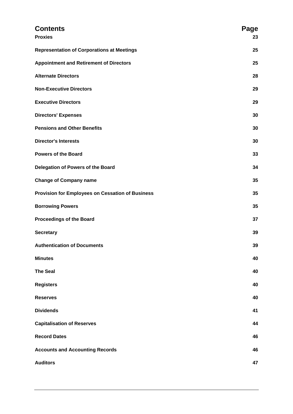| <b>Contents</b><br><b>Proxies</b>                 | Page<br>23 |
|---------------------------------------------------|------------|
| <b>Representation of Corporations at Meetings</b> | 25         |
| <b>Appointment and Retirement of Directors</b>    | 25         |
| <b>Alternate Directors</b>                        | 28         |
| <b>Non-Executive Directors</b>                    | 29         |
| <b>Executive Directors</b>                        | 29         |
| <b>Directors' Expenses</b>                        | 30         |
| <b>Pensions and Other Benefits</b>                | 30         |
| <b>Director's Interests</b>                       | 30         |
| <b>Powers of the Board</b>                        | 33         |
| Delegation of Powers of the Board                 | 34         |
| <b>Change of Company name</b>                     | 35         |
| Provision for Employees on Cessation of Business  | 35         |
| <b>Borrowing Powers</b>                           | 35         |
| <b>Proceedings of the Board</b>                   | 37         |
| <b>Secretary</b>                                  | 39         |
| <b>Authentication of Documents</b>                | 39         |
| <b>Minutes</b>                                    | 40         |
| <b>The Seal</b>                                   | 40         |
| <b>Registers</b>                                  | 40         |
| <b>Reserves</b>                                   | 40         |
| <b>Dividends</b>                                  | 41         |
| <b>Capitalisation of Reserves</b>                 | 44         |
| <b>Record Dates</b>                               | 46         |
| <b>Accounts and Accounting Records</b>            | 46         |
| <b>Auditors</b>                                   | 47         |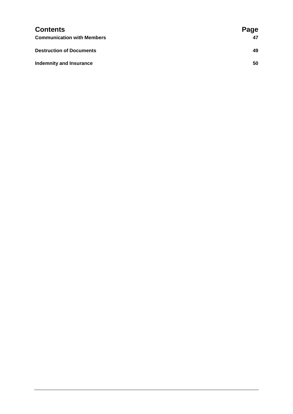| <b>Contents</b>                   | Page |
|-----------------------------------|------|
| <b>Communication with Members</b> | 47   |
| <b>Destruction of Documents</b>   | 49   |
| <b>Indemnity and Insurance</b>    | 50   |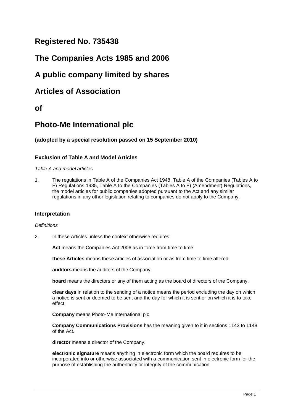# **Registered No. 735438**

# **The Companies Acts 1985 and 2006**

# **A public company limited by shares**

# **Articles of Association**

# **of**

# **Photo-Me International plc**

# **(adopted by a special resolution passed on 15 September 2010)**

# <span id="page-6-0"></span>**Exclusion of Table A and Model Articles**

*Table A and model articles*

1. The regulations in Table A of the Companies Act 1948, Table A of the Companies (Tables A to F) Regulations 1985, Table A to the Companies (Tables A to F) (Amendment) Regulations, the model articles for public companies adopted pursuant to the Act and any similar regulations in any other legislation relating to companies do not apply to the Company.

# <span id="page-6-1"></span>**Interpretation**

# *Definitions*

2. In these Articles unless the context otherwise requires:

**Act** means the Companies Act 2006 as in force from time to time.

**these Articles** means these articles of association or as from time to time altered.

**auditors** means the auditors of the Company.

**board** means the directors or any of them acting as the board of directors of the Company.

**clear days** in relation to the sending of a notice means the period excluding the day on which a notice is sent or deemed to be sent and the day for which it is sent or on which it is to take effect.

**Company** means Photo-Me International plc.

**Company Communications Provisions** has the meaning given to it in sections 1143 to 1148 of the Act.

**director** means a director of the Company.

**electronic signature** means anything in electronic form which the board requires to be incorporated into or otherwise associated with a communication sent in electronic form for the purpose of establishing the authenticity or integrity of the communication.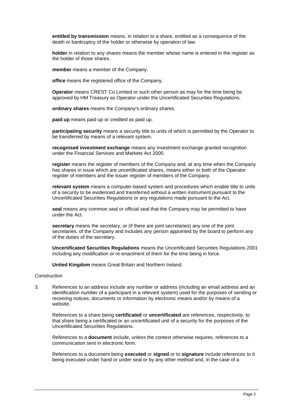**entitled by transmission** means, in relation to a share, entitled as a consequence of the death or bankruptcy of the holder or otherwise by operation of law.

**holder** in relation to any shares means the member whose name is entered in the register as the holder of those shares.

**member** means a member of the Company.

**office** means the registered office of the Company.

**Operator** means CREST Co Limited or such other person as may for the time being be approved by HM Treasury as Operator under the Uncertificated Securities Regulations.

**ordinary shares** means the Company's ordinary shares.

**paid up** means paid up or credited as paid up.

**participating security** means a security title to units of which is permitted by the Operator to be transferred by means of a relevant system.

**recognised investment exchange** means any investment exchange granted recognition under the Financial Services and Markets Act 2000.

**register** means the register of members of the Company and, at any time when the Company has shares in issue which are uncertificated shares, means either or both of the Operator register of members and the issuer register of members of the Company.

**relevant system** means a computer-based system and procedures which enable title to units of a security to be evidenced and transferred without a written instrument pursuant to the Uncertificated Securities Regulations or any regulations made pursuant to the Act.

**seal** means any common seal or official seal that the Company may be permitted to have under the Act.

**secretary** means the secretary, or (if there are joint secretaries) any one of the joint secretaries, of the Company and includes any person appointed by the board to perform any of the duties of the secretary.

**Uncertificated Securities Regulations** means the Uncertificated Securities Regulations 2001 including any modification or re-enactment of them for the time being in force.

**United Kingdom** means Great Britain and Northern Ireland.

#### *Construction*

3. References to an address include any number or address (including an email address and an identification number of a participant in a relevant system) used for the purposes of sending or receiving notices, documents or information by electronic means and/or by means of a website.

References to a share being **certificated** or **uncertificated** are references, respectively, to that share being a certificated or an uncertificated unit of a security for the purposes of the Uncertificated Securities Regulations.

References to a **document** include, unless the context otherwise requires, references to a communication sent in electronic form.

References to a document being **executed** or **signed** or to **signature** include references to it being executed under hand or under seal or by any other method and, in the case of a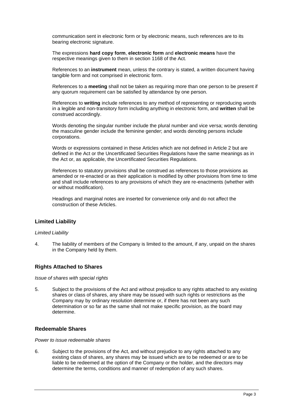communication sent in electronic form or by electronic means, such references are to its bearing electronic signature.

The expressions **hard copy form**, **electronic form** and **electronic means** have the respective meanings given to them in section 1168 of the Act.

References to an **instrument** mean, unless the contrary is stated, a written document having tangible form and not comprised in electronic form.

References to a **meeting** shall not be taken as requiring more than one person to be present if any quorum requirement can be satisfied by attendance by one person.

References to **writing** include references to any method of representing or reproducing words in a legible and non-transitory form including anything in electronic form, and **written** shall be construed accordingly.

Words denoting the singular number include the plural number and vice versa; words denoting the masculine gender include the feminine gender; and words denoting persons include corporations.

Words or expressions contained in these Articles which are not defined in Article 2 but are defined in the Act or the Uncertificated Securities Regulations have the same meanings as in the Act or, as applicable, the Uncertificated Securities Regulations.

References to statutory provisions shall be construed as references to those provisions as amended or re-enacted or as their application is modified by other provisions from time to time and shall include references to any provisions of which they are re-enactments (whether with or without modification).

Headings and marginal notes are inserted for convenience only and do not affect the construction of these Articles.

# <span id="page-8-0"></span>**Limited Liability**

#### *Limited Liability*

4. The liability of members of the Company is limited to the amount, if any, unpaid on the shares in the Company held by them.

# <span id="page-8-1"></span>**Rights Attached to Shares**

#### *Issue of shares with special rights*

5. Subject to the provisions of the Act and without prejudice to any rights attached to any existing shares or class of shares, any share may be issued with such rights or restrictions as the Company may by ordinary resolution determine or, if there has not been any such determination or so far as the same shall not make specific provision, as the board may determine.

#### <span id="page-8-2"></span>**Redeemable Shares**

#### *Power to issue redeemable shares*

6. Subject to the provisions of the Act, and without prejudice to any rights attached to any existing class of shares, any shares may be issued which are to be redeemed or are to be liable to be redeemed at the option of the Company or the holder, and the directors may determine the terms, conditions and manner of redemption of any such shares.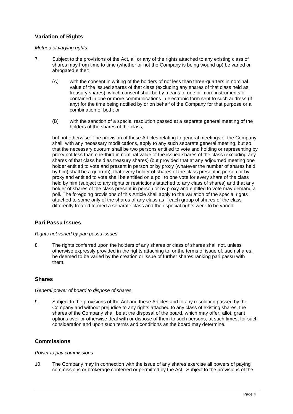# <span id="page-9-0"></span>**Variation of Rights**

## *Method of varying rights*

- 7. Subject to the provisions of the Act, all or any of the rights attached to any existing class of shares may from time to time (whether or not the Company is being wound up) be varied or abrogated either:
	- (A) with the consent in writing of the holders of not less than three-quarters in nominal value of the issued shares of that class (excluding any shares of that class held as treasury shares), which consent shall be by means of one or more instruments or contained in one or more communications in electronic form sent to such address (if any) for the time being notified by or on behalf of the Company for that purpose or a combination of both; or
	- (B) with the sanction of a special resolution passed at a separate general meeting of the holders of the shares of the class,

but not otherwise. The provision of these Articles relating to general meetings of the Company shall, with any necessary modifications, apply to any such separate general meeting, but so that the necessary quorum shall be two persons entitled to vote and holding or representing by proxy not less than one-third in nominal value of the issued shares of the class (excluding any shares of that class held as treasury shares) (but provided that at any adjourned meeting one holder entitled to vote and present in person or by proxy (whatever the number of shares held by him) shall be a quorum), that every holder of shares of the class present in person or by proxy and entitled to vote shall be entitled on a poll to one vote for every share of the class held by him (subject to any rights or restrictions attached to any class of shares) and that any holder of shares of the class present in person or by proxy and entitled to vote may demand a poll. The foregoing provisions of this Article shall apply to the variation of the special rights attached to some only of the shares of any class as if each group of shares of the class differently treated formed a separate class and their special rights were to be varied.

# <span id="page-9-1"></span>**Pari Passu Issues**

#### *Rights not varied by pari passu issues*

8. The rights conferred upon the holders of any shares or class of shares shall not, unless otherwise expressly provided in the rights attaching to, or the terms of issue of, such shares, be deemed to be varied by the creation or issue of further shares ranking pari passu with them.

# <span id="page-9-2"></span>**Shares**

#### *General power of board to dispose of shares*

9. Subject to the provisions of the Act and these Articles and to any resolution passed by the Company and without prejudice to any rights attached to any class of existing shares, the shares of the Company shall be at the disposal of the board, which may offer, allot, grant options over or otherwise deal with or dispose of them to such persons, at such times, for such consideration and upon such terms and conditions as the board may determine.

# <span id="page-9-3"></span>**Commissions**

#### *Power to pay commissions*

10. The Company may in connection with the issue of any shares exercise all powers of paying commissions or brokerage conferred or permitted by the Act. Subject to the provisions of the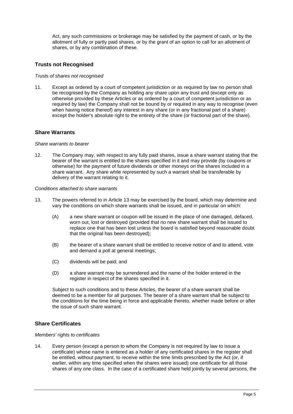Act, any such commissions or brokerage may be satisfied by the payment of cash, or by the allotment of fully or partly paid shares, or by the grant of an option to call for an allotment of shares, or by any combination of these.

# <span id="page-10-0"></span>**Trusts not Recognised**

#### *Trusts of shares not recognised*

11. Except as ordered by a court of competent jurisdiction or as required by law no person shall be recognised by the Company as holding any share upon any trust and (except only as otherwise provided by these Articles or as ordered by a court of competent jurisdiction or as required by law) the Company shall not be bound by or required in any way to recognise (even when having notice thereof) any interest in any share (or in any fractional part of a share) except the holder's absolute right to the entirety of the share (or fractional part of the share).

# <span id="page-10-1"></span>**Share Warrants**

#### *Share warrants to bearer*

12. The Company may, with respect to any fully paid shares, issue a share warrant stating that the bearer of the warrant is entitled to the shares specified in it and may provide (by coupons or otherwise) for the payment of future dividends or other moneys on the shares included in a share warrant. Any share while represented by such a warrant shall be transferable by delivery of the warrant relating to it.

#### *Conditions attached to share warrants*

- 13. The powers referred to in Article 13 may be exercised by the board, which may determine and vary the conditions on which share warrants shall be issued, and in particular on which:
	- (A) a new share warrant or coupon will be issued in the place of one damaged, defaced, worn out, lost or destroyed (provided that no new share warrant shall be issued to replace one that has been lost unless the board is satisfied beyond reasonable doubt that the original has been destroyed);
	- (B) the bearer of a share warrant shall be entitled to receive notice of and to attend, vote and demand a poll at general meetings;
	- (C) dividends will be paid; and
	- (D) a share warrant may be surrendered and the name of the holder entered in the register in respect of the shares specified in it.

Subject to such conditions and to these Articles, the bearer of a share warrant shall be deemed to be a member for all purposes. The bearer of a share warrant shall be subject to the conditions for the time being in force and applicable thereto, whether made before or after the issue of such share warrant.

# <span id="page-10-2"></span>**Share Certificates**

#### *Members' rights to certificates*

14. Every person (except a person to whom the Company is not required by law to issue a certificate) whose name is entered as a holder of any certificated shares in the register shall be entitled, without payment, to receive within the time limits prescribed by the Act (or, if earlier, within any time specified when the shares were issued) one certificate for all those shares of any one class. In the case of a certificated share held jointly by several persons, the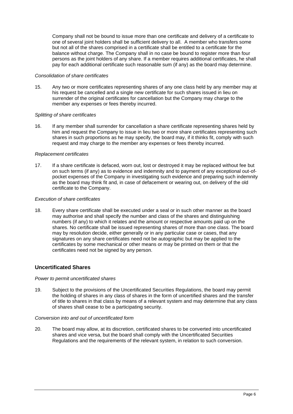Company shall not be bound to issue more than one certificate and delivery of a certificate to one of several joint holders shall be sufficient delivery to all. A member who transfers some but not all of the shares comprised in a certificate shall be entitled to a certificate for the balance without charge. The Company shall in no case be bound to register more than four persons as the joint holders of any share. If a member requires additional certificates, he shall pay for each additional certificate such reasonable sum (if any) as the board may determine.

#### *Consolidation of share certificates*

15. Any two or more certificates representing shares of any one class held by any member may at his request be cancelled and a single new certificate for such shares issued in lieu on surrender of the original certificates for cancellation but the Company may charge to the member any expenses or fees thereby incurred.

### *Splitting of share certificates*

16. If any member shall surrender for cancellation a share certificate representing shares held by him and request the Company to issue in lieu two or more share certificates representing such shares in such proportions as he may specify, the board may, if it thinks fit, comply with such request and may charge to the member any expenses or fees thereby incurred.

### *Replacement certificates*

17. If a share certificate is defaced, worn out, lost or destroyed it may be replaced without fee but on such terms (if any) as to evidence and indemnity and to payment of any exceptional out-ofpocket expenses of the Company in investigating such evidence and preparing such indemnity as the board may think fit and, in case of defacement or wearing out, on delivery of the old certificate to the Company.

### *Execution of share certificates*

18. Every share certificate shall be executed under a seal or in such other manner as the board may authorise and shall specify the number and class of the shares and distinguishing numbers (if any) to which it relates and the amount or respective amounts paid up on the shares. No certificate shall be issued representing shares of more than one class. The board may by resolution decide, either generally or in any particular case or cases, that any signatures on any share certificates need not be autographic but may be applied to the certificates by some mechanical or other means or may be printed on them or that the certificates need not be signed by any person.

# <span id="page-11-0"></span>**Uncertificated Shares**

#### *Power to permit uncertificated shares*

19. Subject to the provisions of the Uncertificated Securities Regulations, the board may permit the holding of shares in any class of shares in the form of uncertified shares and the transfer of title to shares in that class by means of a relevant system and may determine that any class of shares shall cease to be a participating security.

#### *Conversion into and out of uncertificated form*

20. The board may allow, at its discretion, certificated shares to be converted into uncertificated shares and vice versa, but the board shall comply with the Uncertificated Securities Regulations and the requirements of the relevant system, in relation to such conversion.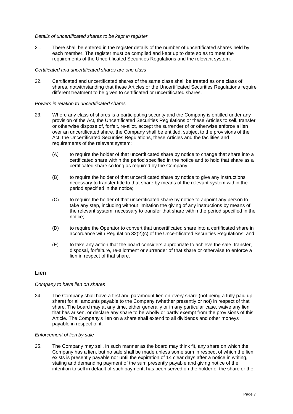## *Details of uncertificated shares to be kept in register*

21. There shall be entered in the register details of the number of uncertificated shares held by each member. The register must be compiled and kept up to date so as to meet the requirements of the Uncertificated Securities Regulations and the relevant system.

# *Certificated and uncertificated shares are one class*

22. Certificated and uncertificated shares of the same class shall be treated as one class of shares, notwithstanding that these Articles or the Uncertificated Securities Regulations require different treatment to be given to certificated or uncertificated shares.

#### *Powers in relation to uncertificated shares*

- 23. Where any class of shares is a participating security and the Company is entitled under any provision of the Act, the Uncertificated Securities Regulations or these Articles to sell, transfer or otherwise dispose of, forfeit, re-allot, accept the surrender of or otherwise enforce a lien over an uncertificated share, the Company shall be entitled, subject to the provisions of the Act, the Uncertificated Securities Regulations, these Articles and the facilities and requirements of the relevant system:
	- (A) to require the holder of that uncertificated share by notice to change that share into a certificated share within the period specified in the notice and to hold that share as a certificated share so long as required by the Company;
	- (B) to require the holder of that uncertificated share by notice to give any instructions necessary to transfer title to that share by means of the relevant system within the period specified in the notice;
	- (C) to require the holder of that uncertificated share by notice to appoint any person to take any step, including without limitation the giving of any instructions by means of the relevant system, necessary to transfer that share within the period specified in the notice;
	- (D) to require the Operator to convert that uncertificated share into a certificated share in accordance with Regulation 32(2)(c) of the Uncertificated Securities Regulations; and
	- (E) to take any action that the board considers appropriate to achieve the sale, transfer, disposal, forfeiture, re-allotment or surrender of that share or otherwise to enforce a lien in respect of that share.

# <span id="page-12-0"></span>**Lien**

# *Company to have lien on shares*

24. The Company shall have a first and paramount lien on every share (not being a fully paid up share) for all amounts payable to the Company (whether presently or not) in respect of that share. The board may at any time, either generally or in any particular case, waive any lien that has arisen, or declare any share to be wholly or partly exempt from the provisions of this Article. The Company's lien on a share shall extend to all dividends and other moneys payable in respect of it.

#### *Enforcement of lien by sale*

25. The Company may sell, in such manner as the board may think fit, any share on which the Company has a lien, but no sale shall be made unless some sum in respect of which the lien exists is presently payable nor until the expiration of 14 clear days after a notice in writing, stating and demanding payment of the sum presently payable and giving notice of the intention to sell in default of such payment, has been served on the holder of the share or the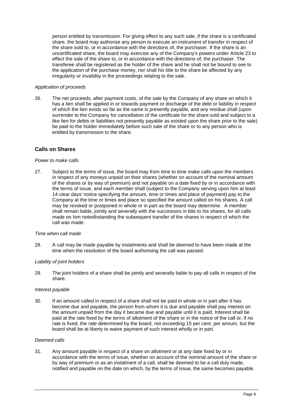person entitled by transmission. For giving effect to any such sale, if the share is a certificated share, the board may authorise any person to execute an instrument of transfer in respect of the share sold to, or in accordance with the directions of, the purchaser. If the share is an uncertificated share, the board may exercise any of the Company's powers under Article 23 to effect the sale of the share to, or in accordance with the directions of, the purchaser. The transferee shall be registered as the holder of the share and he shall not be bound to see to the application of the purchase money, nor shall his title to the share be affected by any irregularity or invalidity in the proceedings relating to the sale.

### *Application of proceeds*

26. The net proceeds, after payment costs, of the sale by the Company of any share on which it has a lien shall be applied in or towards payment or discharge of the debt or liability in respect of which the lien exists so far as the same is presently payable, and any residue shall (upon surrender to the Company for cancellation of the certificate for the share sold and subject to a like lien for debts or liabilities not presently payable as existed upon the share prior to the sale) be paid to the holder immediately before such sale of the share or to any person who is entitled by transmission to the share.

# <span id="page-13-0"></span>**Calls on Shares**

#### *Power to make calls*

27. Subject to the terms of issue, the board may from time to time make calls upon the members in respect of any moneys unpaid on their shares (whether on account of the nominal amount of the shares or by way of premium) and not payable on a date fixed by or in accordance with the terms of issue, and each member shall (subject to the Company serving upon him at least 14 clear days' notice specifying the amount, time or times and place of payment) pay to the Company at the time or times and place so specified the amount called on his shares. A call may be revoked or postponed in whole or in part as the board may determine. A member shall remain liable, jointly and severally with the successors in title to his shares, for all calls made on him notwithstanding the subsequent transfer of the shares in respect of which the call was made.

#### *Time when call made*

28. A call may be made payable by instalments and shall be deemed to have been made at the time when the resolution of the board authorising the call was passed.

#### *Liability of joint holders*

29. The joint holders of a share shall be jointly and severally liable to pay all calls in respect of the share.

#### *Interest payable*

30. If an amount called in respect of a share shall not be paid in whole or in part after it has become due and payable, the person from whom it is due and payable shall pay interest on the amount unpaid from the day it became due and payable until it is paid. Interest shall be paid at the rate fixed by the terms of allotment of the share or in the notice of the call or, if no rate is fixed, the rate determined by the board, not exceeding 15 per cent. per annum, but the board shall be at liberty to waive payment of such interest wholly or in part.

#### *Deemed calls*

31. Any amount payable in respect of a share on allotment or at any date fixed by or in accordance with the terms of issue, whether on account of the nominal amount of the share or by way of premium or as an instalment of a call, shall be deemed to be a call duly made, notified and payable on the date on which, by the terms of issue, the same becomes payable.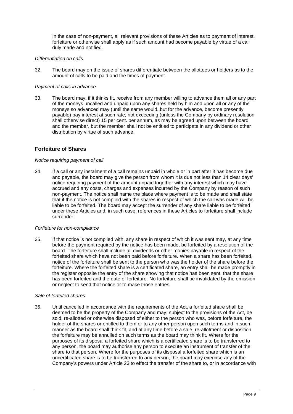In the case of non-payment, all relevant provisions of these Articles as to payment of interest, forfeiture or otherwise shall apply as if such amount had become payable by virtue of a call duly made and notified.

### *Differentiation on calls*

32. The board may on the issue of shares differentiate between the allottees or holders as to the amount of calls to be paid and the times of payment.

#### *Payment of calls in advance*

33. The board may, if it thinks fit, receive from any member willing to advance them all or any part of the moneys uncalled and unpaid upon any shares held by him and upon all or any of the moneys so advanced may (until the same would, but for the advance, become presently payable) pay interest at such rate, not exceeding (unless the Company by ordinary resolution shall otherwise direct) 15 per cent. per annum, as may be agreed upon between the board and the member, but the member shall not be entitled to participate in any dividend or other distribution by virtue of such advance.

# <span id="page-14-0"></span>**Forfeiture of Shares**

#### *Notice requiring payment of call*

34. If a call or any instalment of a call remains unpaid in whole or in part after it has become due and payable, the board may give the person from whom it is due not less than 14 clear days' notice requiring payment of the amount unpaid together with any interest which may have accrued and any costs, charges and expenses incurred by the Company by reason of such non-payment. The notice shall name the place where payment is to be made and shall state that if the notice is not complied with the shares in respect of which the call was made will be liable to be forfeited. The board may accept the surrender of any share liable to be forfeited under these Articles and, in such case, references in these Articles to forfeiture shall include surrender.

#### *Forfieture for non-compliance*

35. If that notice is not complied with, any share in respect of which it was sent may, at any time before the payment required by the notice has been made, be forfeited by a resolution of the board. The forfeiture shall include all dividends or other monies payable in respect of the forfeited share which have not been paid before forfeiture. When a share has been forfeited, notice of the forfeiture shall be sent to the person who was the holder of the share before the forfeiture. Where the forfeited share is a certificated share, an entry shall be made promptly in the register opposite the entry of the share showing that notice has been sent, that the share has been forfeited and the date of forfeiture. No forfeiture shall be invalidated by the omission or neglect to send that notice or to make those entries.

#### *Sale of forfeited shares*

36. Until cancelled in accordance with the requirements of the Act, a forfeited share shall be deemed to be the property of the Company and may, subject to the provisions of the Act, be sold, re-allotted or otherwise disposed of either to the person who was, before forfeiture, the holder of the shares or entitled to them or to any other person upon such terms and in such manner as the board shall think fit, and at any time before a sale, re-allotment or disposition the forfeiture may be annulled on such terms as the board may think fit. Where for the purposes of its disposal a forfeited share which is a certificated share is to be transferred to any person, the board may authorise any person to execute an instrument of transfer of the share to that person. Where for the purposes of its disposal a forfeited share which is an uncertificated share is to be transferred to any person, the board may exercise any of the Company's powers under Article 23 to effect the transfer of the share to, or in accordance with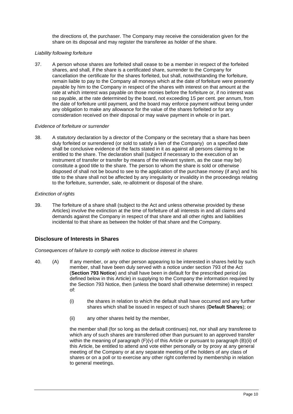the directions of, the purchaser. The Company may receive the consideration given for the share on its disposal and may register the transferee as holder of the share.

# *Liability following forfeiture*

37. A person whose shares are forfeited shall cease to be a member in respect of the forfeited shares, and shall, if the share is a certificated share, surrender to the Company for cancellation the certificate for the shares forfeited, but shall, notwithstanding the forfeiture, remain liable to pay to the Company all moneys which at the date of forfeiture were presently payable by him to the Company in respect of the shares with interest on that amount at the rate at which interest was payable on those monies before the forfeiture or, if no interest was so payable, at the rate determined by the board, not exceeding 15 per cent. per annum, from the date of forfeiture until payment, and the board may enforce payment without being under any obligation to make any allowance for the value of the shares forfeited or for any consideration received on their disposal or may waive payment in whole or in part.

### *Evidence of forfeiture or surrender*

38. A statutory declaration by a director of the Company or the secretary that a share has been duly forfeited or surrendered (or sold to satisfy a lien of the Company) on a specified date shall be conclusive evidence of the facts stated in it as against all persons claiming to be entitled to the share. The declaration shall (subject if necessary to the execution of an instrument of transfer or transfer by means of the relevant system, as the case may be) constitute a good title to the share. The person to whom the share is sold or otherwise disposed of shall not be bound to see to the application of the purchase money (if any) and his title to the share shall not be affected by any irregularity or invalidity in the proceedings relating to the forfeiture, surrender, sale, re-allotment or disposal of the share.

### *Extinction of rights*

39. The forfeiture of a share shall (subject to the Act and unless otherwise provided by these Articles) involve the extinction at the time of forfeiture of all interests in and all claims and demands against the Company in respect of that share and all other rights and liabilities incidental to that share as between the holder of that share and the Company.

# <span id="page-15-0"></span>**Disclosure of Interests in Shares**

## *Consequences of failure to comply with notice to disclose interest in shares*

- 40. (A) If any member, or any other person appearing to be interested in shares held by such member, shall have been duly served with a notice under section 793 of the Act (**Section 793 Notice**) and shall have been in default for the prescribed period (as defined below in this Article) in supplying to the Company the information required by the Section 793 Notice, then (unless the board shall otherwise determine) in respect of:
	- (i) the shares in relation to which the default shall have occurred and any further shares which shall be issued in respect of such shares (**Default Shares**); or
	- (ii) any other shares held by the member,

the member shall (for so long as the default continues) not, nor shall any transferee to which any of such shares are transferred other than pursuant to an approved transfer within the meaning of paragraph  $(F)(v)$  of this Article or pursuant to paragraph (B)(ii) of this Article, be entitled to attend and vote either personally or by proxy at any general meeting of the Company or at any separate meeting of the holders of any class of shares or on a poll or to exercise any other right conferred by membership in relation to general meetings.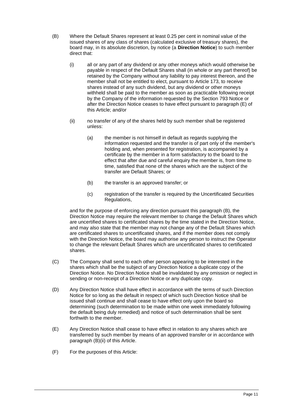- (B) Where the Default Shares represent at least 0.25 per cent in nominal value of the issued shares of any class of shares (calculated exclusive of treasury shares), the board may, in its absolute discretion, by notice (a **Direction Notice**) to such member direct that:
	- (i) all or any part of any dividend or any other moneys which would otherwise be payable in respect of the Default Shares shall (in whole or any part thereof) be retained by the Company without any liability to pay interest thereon, and the member shall not be entitled to elect, pursuant to Article 173, to receive shares instead of any such dividend, but any dividend or other moneys withheld shall be paid to the member as soon as practicable following receipt by the Company of the information requested by the Section 793 Notice or after the Direction Notice ceases to have effect pursuant to paragraph (E) of this Article; and/or
	- (ii) no transfer of any of the shares held by such member shall be registered unless:
		- (a) the member is not himself in default as regards supplying the information requested and the transfer is of part only of the member's holding and, when presented for registration, is accompanied by a certificate by the member in a form satisfactory to the board to the effect that after due and careful enquiry the member is, from time to time, satisfied that none of the shares which are the subject of the transfer are Default Shares; or
		- (b) the transfer is an approved transfer; or
		- (c) registration of the transfer is required by the Uncertificated Securities Regulations,

and for the purpose of enforcing any direction pursuant this paragraph (B), the Direction Notice may require the relevant member to change the Default Shares which are uncertified shares to certificated shares by the time stated in the Direction Notice, and may also state that the member may not change any of the Default Shares which are certificated shares to uncertificated shares, and if the member does not comply with the Direction Notice, the board may authorise any person to instruct the Operator to change the relevant Default Shares which are uncertificated shares to certificated shares.

- (C) The Company shall send to each other person appearing to be interested in the shares which shall be the subject of any Direction Notice a duplicate copy of the Direction Notice. No Direction Notice shall be invalidated by any omission or neglect in sending or non-receipt of a Direction Notice or any duplicate copy.
- (D) Any Direction Notice shall have effect in accordance with the terms of such Direction Notice for so long as the default in respect of which such Direction Notice shall be issued shall continue and shall cease to have effect only upon the board so determining (such determination to be made within one week immediately following the default being duly remedied) and notice of such determination shall be sent forthwith to the member.
- (E) Any Direction Notice shall cease to have effect in relation to any shares which are transferred by such member by means of an approved transfer or in accordance with paragraph (B)(ii) of this Article.
- (F) For the purposes of this Article: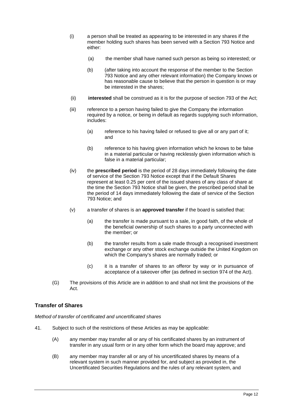- (i) a person shall be treated as appearing to be interested in any shares if the member holding such shares has been served with a Section 793 Notice and either:
	- (a) the member shall have named such person as being so interested; or
	- (b) (after taking into account the response of the member to the Section 793 Notice and any other relevant information) the Company knows or has reasonable cause to believe that the person in question is or may be interested in the shares;
- (ii) **interested** shall be construed as it is for the purpose of section 793 of the Act;
- (iii) reference to a person having failed to give the Company the information required by a notice, or being in default as regards supplying such information, includes:
	- (a) reference to his having failed or refused to give all or any part of it; and
	- (b) reference to his having given information which he knows to be false in a material particular or having recklessly given information which is false in a material particular;
- (iv) the **prescribed period** is the period of 28 days immediately following the date of service of the Section 793 Notice except that if the Default Shares represent at least 0.25 per cent of the issued shares of any class of share at the time the Section 793 Notice shall be given, the prescribed period shall be the period of 14 days immediately following the date of service of the Section 793 Notice; and
- (v) a transfer of shares is an **approved transfer** if the board is satisfied that:
	- (a) the transfer is made pursuant to a sale, in good faith, of the whole of the beneficial ownership of such shares to a party unconnected with the member; or
	- (b) the transfer results from a sale made through a recognised investment exchange or any other stock exchange outside the United Kingdom on which the Company's shares are normally traded; or
	- (c) it is a transfer of shares to an offeror by way or in pursuance of acceptance of a takeover offer (as defined in section 974 of the Act).
- (G) The provisions of this Article are in addition to and shall not limit the provisions of the Act.

# <span id="page-17-0"></span>**Transfer of Shares**

*Method of transfer of certificated and uncertificated shares*

- 41. Subject to such of the restrictions of these Articles as may be applicable:
	- (A) any member may transfer all or any of his certificated shares by an instrument of transfer in any usual form or in any other form which the board may approve; and
	- (B) any member may transfer all or any of his uncertificated shares by means of a relevant system in such manner provided for, and subject as provided in, the Uncertificated Securities Regulations and the rules of any relevant system, and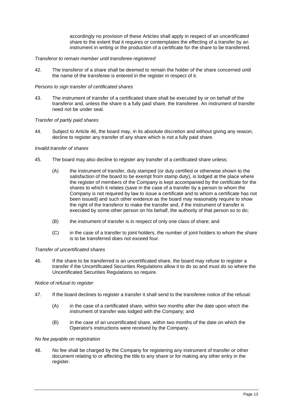accordingly no provision of these Articles shall apply in respect of an uncertificated share to the extent that it requires or contemplates the effecting of a transfer by an instrument in writing or the production of a certificate for the share to be transferred.

#### *Transferor to remain member until transferee registered*

42. The transferor of a share shall be deemed to remain the holder of the share concerned until the name of the transferee is entered in the register in respect of it.

#### *Persons to sign transfer of certificated shares*

43. The instrument of transfer of a certificated share shall be executed by or on behalf of the transferor and, unless the share is a fully paid share, the transferee. An instrument of transfer need not be under seal.

#### *Transfer of partly paid shares*

44. Subject to Article 46, the board may, in its absolute discretion and without giving any reason, decline to register any transfer of any share which is not a fully paid share.

#### *Invalid transfer of shares*

- 45. The board may also decline to register any transfer of a certificated share unless:
	- (A) the instrument of transfer, duly stamped (or duly certified or otherwise shown to the satisfaction of the board to be exempt from stamp duty), is lodged at the place where the register of members of the Company is kept accompanied by the certificate for the shares to which it relates (save in the case of a transfer by a person to whom the Company is not required by law to issue a certificate and to whom a certificate has not been issued) and such other evidence as the board may reasonably require to show the right of the transferor to make the transfer and, if the instrument of transfer is executed by some other person on his behalf, the authority of that person so to do;
	- (B) the instrument of transfer is in respect of only one class of share; and
	- (C) in the case of a transfer to joint holders, the number of joint holders to whom the share is to be transferred does not exceed four.

#### *Transfer of uncertificated shares*

46. If the share to be transferred is an uncertificated share, the board may refuse to register a transfer if the Uncertificated Securities Regulations allow it to do so and must do so where the Uncertificated Securities Regulations so require.

#### *Notice of refusal to register*

- 47. If the board declines to register a transfer it shall send to the transferee notice of the refusal:
	- (A) in the case of a certificated share, within two months after the date upon which the instrument of transfer was lodged with the Company; and
	- (B) in the case of an uncertificated share, within two months of the date on which the Operator's instructions were received by the Company.

#### *No fee payable on registration*

48. No fee shall be charged by the Company for registering any instrument of transfer or other document relating to or affecting the title to any share or for making any other entry in the register.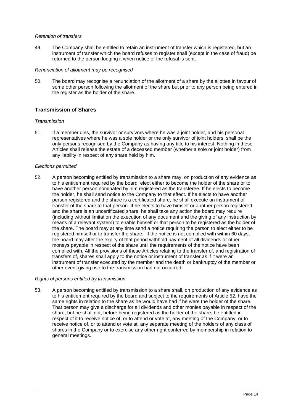## *Retention of transfers*

49. The Company shall be entitled to retain an instrument of transfer which is registered, but an instrument of transfer which the board refuses to register shall (except in the case of fraud) be returned to the person lodging it when notice of the refusal is sent.

### *Renunciation of allotment may be recognised*

50. The board may recognise a renunciation of the allotment of a share by the allottee in favour of some other person following the allotment of the share but prior to any person being entered in the register as the holder of the share.

# <span id="page-19-0"></span>**Transmission of Shares**

### *Transmission*

51. If a member dies, the survivor or survivors where he was a joint holder, and his personal representatives where he was a sole holder or the only survivor of joint holders, shall be the only persons recognised by the Company as having any title to his interest. Nothing in these Articles shall release the estate of a deceased member (whether a sole or joint holder) from any liability in respect of any share held by him.

### *Elections permitted*

52. A person becoming entitled by transmission to a share may, on production of any evidence as to his entitlement required by the board, elect either to become the holder of the share or to have another person nominated by him registered as the transferee. If he elects to become the holder, he shall send notice to the Company to that effect. If he elects to have another person registered and the share is a certificated share, he shall execute an instrument of transfer of the share to that person. If he elects to have himself or another person registered and the share is an uncertificated share, he shall take any action the board may require (including without limitation the execution of any document and the giving of any instruction by means of a relevant system) to enable himself or that person to be registered as the holder of the share. The board may at any time send a notice requiring the person to elect either to be registered himself or to transfer the share. If the notice is not complied with within 60 days, the board may after the expiry of that period withhold payment of all dividends or other moneys payable in respect of the share until the requirements of the notice have been complied with. All the provisions of these Articles relating to the transfer of, and registration of transfers of, shares shall apply to the notice or instrument of transfer as if it were an instrument of transfer executed by the member and the death or bankruptcy of the member or other event giving rise to the transmission had not occurred.

#### *Rights of persons entitled by transmission*

53. A person becoming entitled by transmission to a share shall, on production of any evidence as to his entitlement required by the board and subject to the requirements of Article 52, have the same rights in relation to the share as he would have had if he were the holder of the share. That person may give a discharge for all dividends and other monies payable in respect of the share, but he shall not, before being registered as the holder of the share, be entitled in respect of it to receive notice of, or to attend or vote at, any meeting of the Company, or to receive notice of, or to attend or vote at, any separate meeting of the holders of any class of shares in the Company or to exercise any other right conferred by membership in relation to general meetings.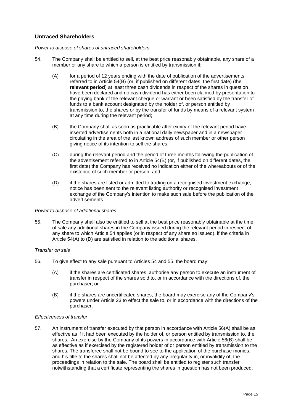# <span id="page-20-0"></span>**Untraced Shareholders**

### *Power to dispose of shares of untraced shareholders*

- 54. The Company shall be entitled to sell, at the best price reasonably obtainable, any share of a member or any share to which a person is entitled by transmission if:
	- (A) for a period of 12 years ending with the date of publication of the advertisements referred to in Article 54(B) (or, if published on different dates, the first date) (the **relevant period**) at least three cash dividends in respect of the shares in question have been declared and no cash dividend has either been claimed by presentation to the paying bank of the relevant cheque or warrant or been satisfied by the transfer of funds to a bank account designated by the holder of, or person entitled by transmission to, the shares or by the transfer of funds by means of a relevant system at any time during the relevant period;
	- (B) the Company shall as soon as practicable after expiry of the relevant period have inserted advertisements both in a national daily newspaper and in a newspaper circulating in the area of the last known address of such member or other person giving notice of its intention to sell the shares;
	- (C) during the relevant period and the period of three months following the publication of the advertisement referred to in Article 54(B) (or, if published on different dates, the first date) the Company has received no indication either of the whereabouts or of the existence of such member or person; and
	- (D) if the shares are listed or admitted to trading on a recognised investment exchange, notice has been sent to the relevant listing authority or recognised investment exchange of the Company's intention to make such sale before the publication of the advertisements.

#### *Power to dispose of additional shares*

55. The Company shall also be entitled to sell at the best price reasonably obtainable at the time of sale any additional shares in the Company issued during the relevant period in respect of any share to which Article 54 applies (or in respect of any share so issued), if the criteria in Article 54(A) to (D) are satisfied in relation to the additional shares.

# *Transfer on sale*

- 56. To give effect to any sale pursuant to Articles 54 and 55, the board may:
	- (A) if the shares are certificated shares, authorise any person to execute an instrument of transfer in respect of the shares sold to, or in accordance with the directions of, the purchaser; or
	- (B) if the shares are uncertificated shares, the board may exercise any of the Company's powers under Article 23 to effect the sale to, or in accordance with the directions of the purchaser.

#### *Effectiveness of transfer*

57. An instrument of transfer executed by that person in accordance with Article 56(A) shall be as effective as if it had been executed by the holder of, or person entitled by transmission to, the shares. An exercise by the Company of its powers in accordance with Article 56(B) shall be as effective as if exercised by the registered holder of or person entitled by transmission to the shares. The transferee shall not be bound to see to the application of the purchase monies, and his title to the shares shall not be affected by any irregularity in, or invalidity of, the proceedings in relation to the sale. The board shall be entitled to register such transfer notwithstanding that a certificate representing the shares in question has not been produced.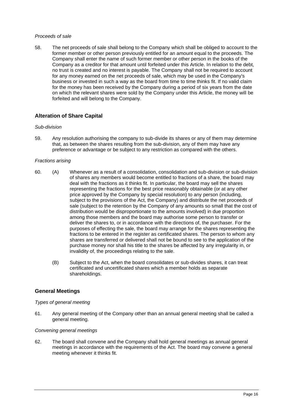## *Proceeds of sale*

58. The net proceeds of sale shall belong to the Company which shall be obliged to account to the former member or other person previously entitled for an amount equal to the proceeds. The Company shall enter the name of such former member or other person in the books of the Company as a creditor for that amount until forfeited under this Article. In relation to the debt, no trust is created and no interest is payable. The Company shall not be required to account for any money earned on the net proceeds of sale, which may be used in the Company's business or invested in such a way as the board from time to time thinks fit. If no valid claim for the money has been received by the Company during a period of six years from the date on which the relevant shares were sold by the Company under this Article, the money will be forfeited and will belong to the Company.

# <span id="page-21-0"></span>**Alteration of Share Capital**

#### *Sub-division*

59. Any resolution authorising the company to sub-divide its shares or any of them may determine that, as between the shares resulting from the sub-division, any of them may have any preference or advantage or be subject to any restriction as compared with the others.

### *Fractions arising*

- 60. (A) Whenever as a result of a consolidation, consolidation and sub-division or sub-division of shares any members would become entitled to fractions of a share, the board may deal with the fractions as it thinks fit. In particular, the board may sell the shares representing the fractions for the best price reasonably obtainable (or at any other price approved by the Company by special resolution) to any person (including, subject to the provisions of the Act, the Company) and distribute the net proceeds of sale (subject to the retention by the Company of any amounts so small that the cost of distribution would be disproportionate to the amounts involved) in due proportion among those members and the board may authorise some person to transfer or deliver the shares to, or in accordance with the directions of, the purchaser. For the purposes of effecting the sale, the board may arrange for the shares representing the fractions to be entered in the register as certificated shares. The person to whom any shares are transferred or delivered shall not be bound to see to the application of the purchase money nor shall his title to the shares be affected by any irregularity in, or invalidity of, the proceedings relating to the sale.
	- (B) Subject to the Act, when the board consolidates or sub-divides shares, it can treat certificated and uncertificated shares which a member holds as separate shareholdings.

# <span id="page-21-1"></span>**General Meetings**

#### *Types of general meeting*

61. Any general meeting of the Company other than an annual general meeting shall be called a general meeting.

## *Convening general meetings*

62. The board shall convene and the Company shall hold general meetings as annual general meetings in accordance with the requirements of the Act. The board may convene a general meeting whenever it thinks fit.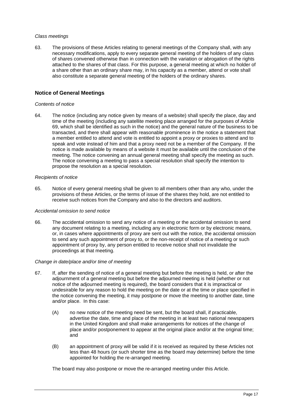#### *Class meetings*

63. The provisions of these Articles relating to general meetings of the Company shall, with any necessary modifications, apply to every separate general meeting of the holders of any class of shares convened otherwise than in connection with the variation or abrogation of the rights attached to the shares of that class. For this purpose, a general meeting at which no holder of a share other than an ordinary share may, in his capacity as a member, attend or vote shall also constitute a separate general meeting of the holders of the ordinary shares.

# <span id="page-22-0"></span>**Notice of General Meetings**

#### *Contents of notice*

64. The notice (including any notice given by means of a website) shall specify the place, day and time of the meeting (including any satellite meeting place arranged for the purposes of Article 69, which shall be identified as such in the notice) and the general nature of the business to be transacted, and there shall appear with reasonable prominence in the notice a statement that a member entitled to attend and vote is entitled to appoint a proxy or proxies to attend and to speak and vote instead of him and that a proxy need not be a member of the Company. If the notice is made available by means of a website it must be available until the conclusion of the meeting. The notice convening an annual general meeting shall specify the meeting as such. The notice convening a meeting to pass a special resolution shall specify the intention to propose the resolution as a special resolution.

#### *Recipients of notice*

65. Notice of every general meeting shall be given to all members other than any who, under the provisions of these Articles, or the terms of issue of the shares they hold, are not entitled to receive such notices from the Company and also to the directors and auditors.

#### *Accidental omission to send notice*

66. The accidental omission to send any notice of a meeting or the accidental omission to send any document relating to a meeting, including any in electronic form or by electronic means, or, in cases where appointments of proxy are sent out with the notice, the accidental omission to send any such appointment of proxy to, or the non-receipt of notice of a meeting or such appointment of proxy by, any person entitled to receive notice shall not invalidate the proceedings at that meeting.

#### *Change in date/place and/or time of meeting*

- 67. If, after the sending of notice of a general meeting but before the meeting is held, or after the adjournment of a general meeting but before the adjourned meeting is held (whether or not notice of the adjourned meeting is required), the board considers that it is impractical or undesirable for any reason to hold the meeting on the date or at the time or place specified in the notice convening the meeting, it may postpone or move the meeting to another date, time and/or place. In this case:
	- (A) no new notice of the meeting need be sent, but the board shall, if practicable, advertise the date, time and place of the meeting in at least two national newspapers in the United Kingdom and shall make arrangements for notices of the change of place and/or postponement to appear at the original place and/or at the original time; and
	- (B) an appointment of proxy will be valid if it is received as required by these Articles not less than 48 hours (or such shorter time as the board may determine) before the time appointed for holding the re-arranged meeting.

The board may also postpone or move the re-arranged meeting under this Article.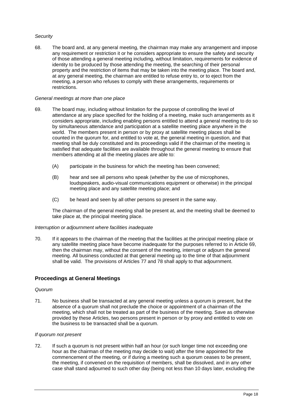# *Security*

68. The board and, at any general meeting, the chairman may make any arrangement and impose any requirement or restriction it or he considers appropriate to ensure the safety and security of those attending a general meeting including, without limitation, requirements for evidence of identity to be produced by those attending the meeting, the searching of their personal property and the restriction of items that may be taken into the meeting place. The board and, at any general meeting, the chairman are entitled to refuse entry to, or to eject from the meeting, a person who refuses to comply with these arrangements, requirements or restrictions.

## *General meetings at more than one place*

- 69. The board may, including without limitation for the purpose of controlling the level of attendance at any place specified for the holding of a meeting, make such arrangements as it considers appropriate, including enabling persons entitled to attend a general meeting to do so by simultaneous attendance and participation at a satellite meeting place anywhere in the world. The members present in person or by proxy at satellite meeting places shall be counted in the quorum for, and entitled to vote at, the general meeting in question, and that meeting shall be duly constituted and its proceedings valid if the chairman of the meeting is satisfied that adequate facilities are available throughout the general meeting to ensure that members attending at all the meeting places are able to:
	- (A) participate in the business for which the meeting has been convened;
	- (B) hear and see all persons who speak (whether by the use of microphones, loudspeakers, audio-visual communications equipment or otherwise) in the principal meeting place and any satellite meeting place; and
	- (C) be heard and seen by all other persons so present in the same way.

The chairman of the general meeting shall be present at, and the meeting shall be deemed to take place at, the principal meeting place.

#### *Interruption or adjournment where facilities inadequate*

70. If it appears to the chairman of the meeting that the facilities at the principal meeting place or any satellite meeting place have become inadequate for the purposes referred to in Article 69, then the chairman may, without the consent of the meeting, interrupt or adjourn the general meeting. All business conducted at that general meeting up to the time of that adjournment shall be valid. The provisions of Articles 77 and 78 shall apply to that adjournment.

# <span id="page-23-0"></span>**Proceedings at General Meetings**

#### *Quorum*

71. No business shall be transacted at any general meeting unless a quorum is present, but the absence of a quorum shall not preclude the choice or appointment of a chairman of the meeting, which shall not be treated as part of the business of the meeting. Save as otherwise provided by these Articles, two persons present in person or by proxy and entitled to vote on the business to be transacted shall be a quorum.

#### *If quorum not present*

72. If such a quorum is not present within half an hour (or such longer time not exceeding one hour as the chairman of the meeting may decide to wait) after the time appointed for the commencement of the meeting, or if during a meeting such a quorum ceases to be present, the meeting, if convened on the requisition of members, shall be dissolved, and in any other case shall stand adjourned to such other day (being not less than 10 days later, excluding the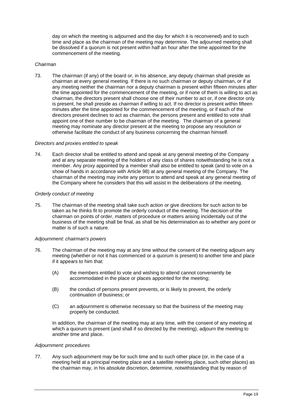day on which the meeting is adjourned and the day for which it is reconvened) and to such time and place as the chairman of the meeting may determine. The adjourned meeting shall be dissolved if a quorum is not present within half an hour after the time appointed for the commencement of the meeting.

#### *Chairman*

73. The chairman (if any) of the board or, in his absence, any deputy chairman shall preside as chairman at every general meeting. If there is no such chairman or deputy chairman, or if at any meeting neither the chairman nor a deputy chairman is present within fifteen minutes after the time appointed for the commencement of the meeting, or if none of them is willing to act as chairman, the directors present shall choose one of their number to act or, if one director only is present, he shall preside as chairman if willing to act. If no director is present within fifteen minutes after the time appointed for the commencement of the meeting, or if each of the directors present declines to act as chairman, the persons present and entitled to vote shall appoint one of their number to be chairman of the meeting. The chairman of a general meeting may nominate any director present at the meeting to propose any resolution or otherwise facilitate the conduct of any business concerning the chairman himself.

#### *Directors and proxies entitled to speak*

74. Each director shall be entitled to attend and speak at any general meeting of the Company and at any separate meeting of the holders of any class of shares notwithstanding he is not a member. Any proxy appointed by a member shall also be entitled to speak (and to vote on a show of hands in accordance with Article 98) at any general meeting of the Company. The chairman of the meeting may invite any person to attend and speak at any general meeting of the Company where he considers that this will assist in the deliberations of the meeting.

#### *Orderly conduct of meeting*

75. The chairman of the meeting shall take such action or give directions for such action to be taken as he thinks fit to promote the orderly conduct of the meeting. The decision of the chairman on points of order, matters of procedure or matters arising incidentally out of the business of the meeting shall be final, as shall be his determination as to whether any point or matter is of such a nature.

#### *Adjournment: chairman's powers*

- 76. The chairman of the meeting may at any time without the consent of the meeting adjourn any meeting (whether or not it has commenced or a quorum is present) to another time and place if it appears to him that:
	- (A) the members entitled to vote and wishing to attend cannot conveniently be accommodated in the place or places appointed for the meeting;
	- (B) the conduct of persons present prevents, or is likely to prevent, the orderly continuation of business; or
	- (C) an adjournment is otherwise necessary so that the business of the meeting may properly be conducted.

In addition, the chairman of the meeting may at any time, with the consent of any meeting at which a quorum is present (and shall if so directed by the meeting), adjourn the meeting to another time and place.

#### *Adjournment: procedures*

77. Any such adjournment may be for such time and to such other place (or, in the case of a meeting held at a principal meeting place and a satellite meeting place, such other places) as the chairman may, in his absolute discretion, determine, notwithstanding that by reason of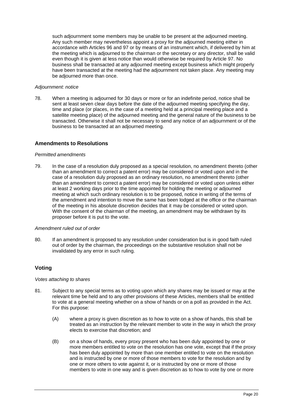such adjournment some members may be unable to be present at the adjourned meeting. Any such member may nevertheless appoint a proxy for the adjourned meeting either in accordance with Articles 96 and 97 or by means of an instrument which, if delivered by him at the meeting which is adjourned to the chairman or the secretary or any director, shall be valid even though it is given at less notice than would otherwise be required by Article 97. No business shall be transacted at any adjourned meeting except business which might properly have been transacted at the meeting had the adjournment not taken place. Any meeting may be adjourned more than once.

### *Adjournment: notice*

78. When a meeting is adjourned for 30 days or more or for an indefinite period, notice shall be sent at least seven clear days before the date of the adjourned meeting specifying the day, time and place (or places, in the case of a meeting held at a principal meeting place and a satellite meeting place) of the adjourned meeting and the general nature of the business to be transacted. Otherwise it shall not be necessary to send any notice of an adjournment or of the business to be transacted at an adjourned meeting.

# <span id="page-25-0"></span>**Amendments to Resolutions**

#### *Permitted amendments*

79. In the case of a resolution duly proposed as a special resolution, no amendment thereto (other than an amendment to correct a patent error) may be considered or voted upon and in the case of a resolution duly proposed as an ordinary resolution, no amendment thereto (other than an amendment to correct a patent error) may be considered or voted upon unless either at least 2 working days prior to the time appointed for holding the meeting or adjourned meeting at which such ordinary resolution is to be proposed, notice in writing of the terms of the amendment and intention to move the same has been lodged at the office or the chairman of the meeting in his absolute discretion decides that it may be considered or voted upon. With the consent of the chairman of the meeting, an amendment may be withdrawn by its proposer before it is put to the vote.

#### *Amendment ruled out of order*

80. If an amendment is proposed to any resolution under consideration but is in good faith ruled out of order by the chairman, the proceedings on the substantive resolution shall not be invalidated by any error in such ruling.

# <span id="page-25-1"></span>**Voting**

#### *Votes attaching to shares*

- 81. Subject to any special terms as to voting upon which any shares may be issued or may at the relevant time be held and to any other provisions of these Articles, members shall be entitled to vote at a general meeting whether on a show of hands or on a poll as provided in the Act. For this purpose:
	- (A) where a proxy is given discretion as to how to vote on a show of hands, this shall be treated as an instruction by the relevant member to vote in the way in which the proxy elects to exercise that discretion; and
	- (B) on a show of hands, every proxy present who has been duly appointed by one or more members entitled to vote on the resolution has one vote, except that if the proxy has been duly appointed by more than one member entitled to vote on the resolution and is instructed by one or more of those members to vote for the resolution and by one or more others to vote against it, or is instructed by one or more of those members to vote in one way and is given discretion as to how to vote by one or more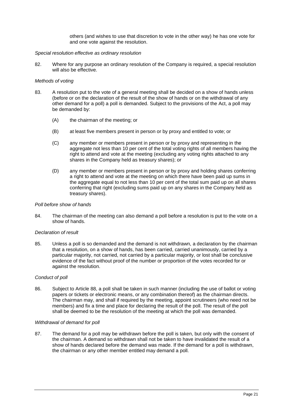others (and wishes to use that discretion to vote in the other way) he has one vote for and one vote against the resolution.

#### *Special resolution effective as ordinary resolution*

82. Where for any purpose an ordinary resolution of the Company is required, a special resolution will also be effective.

#### *Methods of voting*

- 83. A resolution put to the vote of a general meeting shall be decided on a show of hands unless (before or on the declaration of the result of the show of hands or on the withdrawal of any other demand for a poll) a poll is demanded. Subject to the provisions of the Act, a poll may be demanded by:
	- (A) the chairman of the meeting; or
	- (B) at least five members present in person or by proxy and entitled to vote; or
	- (C) any member or members present in person or by proxy and representing in the aggregate not less than 10 per cent of the total voting rights of all members having the right to attend and vote at the meeting (excluding any voting rights attached to any shares in the Company held as treasury shares); or
	- (D) any member or members present in person or by proxy and holding shares conferring a right to attend and vote at the meeting on which there have been paid up sums in the aggregate equal to not less than 10 per cent of the total sum paid up on all shares conferring that right (excluding sums paid up on any shares in the Company held as treasury shares).

#### *Poll before show of hands*

84. The chairman of the meeting can also demand a poll before a resolution is put to the vote on a show of hands.

#### *Declaration of result*

85. Unless a poll is so demanded and the demand is not withdrawn, a declaration by the chairman that a resolution, on a show of hands, has been carried, carried unanimously, carried by a particular majority, not carried, not carried by a particular majority, or lost shall be conclusive evidence of the fact without proof of the number or proportion of the votes recorded for or against the resolution.

#### *Conduct of poll*

86. Subject to Article 88, a poll shall be taken in such manner (including the use of ballot or voting papers or tickets or electronic means, or any combination thereof) as the chairman directs. The chairman may, and shall if required by the meeting, appoint scrutineers (who need not be members) and fix a time and place for declaring the result of the poll. The result of the poll shall be deemed to be the resolution of the meeting at which the poll was demanded.

#### *Withdrawal of demand for poll*

87. The demand for a poll may be withdrawn before the poll is taken, but only with the consent of the chairman. A demand so withdrawn shall not be taken to have invalidated the result of a show of hands declared before the demand was made. If the demand for a poll is withdrawn, the chairman or any other member entitled may demand a poll.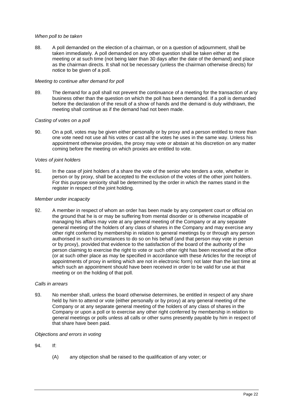## *When poll to be taken*

88. A poll demanded on the election of a chairman, or on a question of adjournment, shall be taken immediately. A poll demanded on any other question shall be taken either at the meeting or at such time (not being later than 30 days after the date of the demand) and place as the chairman directs. It shall not be necessary (unless the chairman otherwise directs) for notice to be given of a poll.

### *Meeting to continue after demand for poll*

89. The demand for a poll shall not prevent the continuance of a meeting for the transaction of any business other than the question on which the poll has been demanded. If a poll is demanded before the declaration of the result of a show of hands and the demand is duly withdrawn, the meeting shall continue as if the demand had not been made.

### *Casting of votes on a poll*

90. On a poll, votes may be given either personally or by proxy and a person entitled to more than one vote need not use all his votes or cast all the votes he uses in the same way. Unless his appointment otherwise provides, the proxy may vote or abstain at his discretion on any matter coming before the meeting on which proxies are entitled to vote.

### *Votes of joint holders*

91. In the case of joint holders of a share the vote of the senior who tenders a vote, whether in person or by proxy, shall be accepted to the exclusion of the votes of the other joint holders. For this purpose seniority shall be determined by the order in which the names stand in the register in respect of the joint holding.

### *Member under incapacity*

92. A member in respect of whom an order has been made by any competent court or official on the ground that he is or may be suffering from mental disorder or is otherwise incapable of managing his affairs may vote at any general meeting of the Company or at any separate general meeting of the holders of any class of shares in the Company and may exercise any other right conferred by membership in relation to general meetings by or through any person authorised in such circumstances to do so on his behalf (and that person may vote in person or by proxy), provided that evidence to the satisfaction of the board of the authority of the person claiming to exercise the right to vote or such other right has been received at the office (or at such other place as may be specified in accordance with these Articles for the receipt of appointments of proxy in writing which are not in electronic form) not later than the last time at which such an appointment should have been received in order to be valid for use at that meeting or on the holding of that poll.

#### *Calls in arrears*

93. No member shall, unless the board otherwise determines, be entitled in respect of any share held by him to attend or vote (either personally or by proxy) at any general meeting of the Company or at any separate general meeting of the holders of any class of shares in the Company or upon a poll or to exercise any other right conferred by membership in relation to general meetings or polls unless all calls or other sums presently payable by him in respect of that share have been paid.

#### *Objections and errors in voting*

- 94. If:
	- (A) any objection shall be raised to the qualification of any voter; or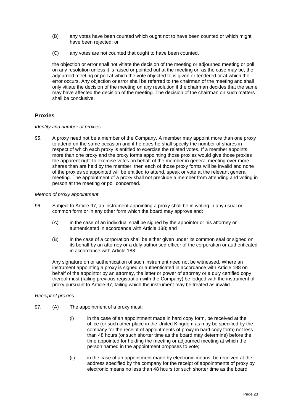- (B) any votes have been counted which ought not to have been counted or which might have been rejected; or
- (C) any votes are not counted that ought to have been counted,

the objection or error shall not vitiate the decision of the meeting or adjourned meeting or poll on any resolution unless it is raised or pointed out at the meeting or, as the case may be, the adjourned meeting or poll at which the vote objected to is given or tendered or at which the error occurs. Any objection or error shall be referred to the chairman of the meeting and shall only vitiate the decision of the meeting on any resolution if the chairman decides that the same may have affected the decision of the meeting. The decision of the chairman on such matters shall be conclusive.

# <span id="page-28-0"></span>**Proxies**

#### *Identity and number of proxies*

95. A proxy need not be a member of the Company. A member may appoint more than one proxy to attend on the same occasion and if he does he shall specify the number of shares in respect of which each proxy is entitled to exercise the related votes. If a member appoints more than one proxy and the proxy forms appointing those proxies would give those proxies the apparent right to exercise votes on behalf of the member in general meeting over more shares than are held by the member, then each of those proxy forms will be invalid and none of the proxies so appointed will be entitled to attend, speak or vote at the relevant general meeting. The appointment of a proxy shall not preclude a member from attending and voting in person at the meeting or poll concerned.

### *Method of proxy appointment*

- 96. Subject to Article 97, an instrument appointing a proxy shall be in writing in any usual or common form or in any other form which the board may approve and:
	- (A) in the case of an individual shall be signed by the appointor or his attorney or authenticated in accordance with Article 188; and
	- (B) in the case of a corporation shall be either given under its common seal or signed on its behalf by an attorney or a duly authorised officer of the corporation or authenticated in accordance with Article 188.

Any signature on or authentication of such instrument need not be witnessed. Where an instrument appointing a proxy is signed or authenticated in accordance with Article 188 on behalf of the appointor by an attorney, the letter or power of attorney or a duly certified copy thereof must (failing previous registration with the Company) be lodged with the instrument of proxy pursuant to Article 97, failing which the instrument may be treated as invalid.

#### *Receipt of proxies*

- 97. (A) The appointment of a proxy must:
	- (i) in the case of an appointment made in hard copy form, be received at the office (or such other place in the United Kingdom as may be specified by the company for the receipt of appointments of proxy in hard copy form) not less than 48 hours (or such shorter time as the board may determine) before the time appointed for holding the meeting or adjourned meeting at which the person named in the appointment proposes to vote;
	- (ii) in the case of an appointment made by electronic means, be received at the address specified by the company for the receipt of appointments of proxy by electronic means no less than 48 hours (or such shorter time as the board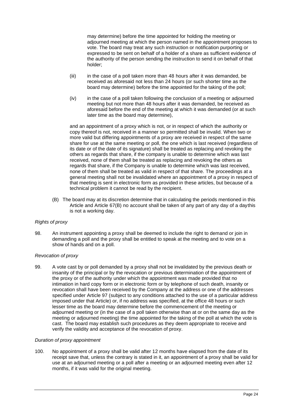may determine) before the time appointed for holding the meeting or adjourned meeting at which the person named in the appointment proposes to vote. The board may treat any such instruction or notification purporting or expressed to be sent on behalf of a holder of a share as sufficient evidence of the authority of the person sending the instruction to send it on behalf of that holder;

- (iii) in the case of a poll taken more than 48 hours after it was demanded, be received as aforesaid not less than 24 hours (or such shorter time as the board may determine) before the time appointed for the taking of the poll;
- (iv) in the case of a poll taken following the conclusion of a meeting or adjourned meeting but not more than 48 hours after it was demanded, be received as aforesaid before the end of the meeting at which it was demanded (or at such later time as the board may determine),

and an appointment of a proxy which is not, or in respect of which the authority or copy thereof is not, received in a manner so permitted shall be invalid. When two or more valid but differing appointments of a proxy are received in respect of the same share for use at the same meeting or poll, the one which is last received (regardless of its date or of the date of its signature) shall be treated as replacing and revoking the others as regards that share, if the company is unable to determine which was last received, none of them shall be treated as replacing and revoking the others as regards that share, if the Company is unable to determine which was last received, none of them shall be treated as valid in respect of that share. The proceedings at a general meeting shall not be invalidated where an appointment of a proxy in respect of that meeting is sent in electronic form as provided in these articles, but because of a technical problem it cannot be read by the recipient.

(B) The board may at its discretion determine that in calculating the periods mentioned in this Article and Article 67(B) no account shall be taken of any part of any day of a daythis is not a working day.

# *Rights of proxy*

98. An instrument appointing a proxy shall be deemed to include the right to demand or join in demanding a poll and the proxy shall be entitled to speak at the meeting and to vote on a show of hands and on a poll.

# *Revocation of proxy*

99. A vote cast by or poll demanded by a proxy shall not be invalidated by the previous death or insanity of the principal or by the revocation or previous determination of the appointment of the proxy or of the authority under which the appointment was made provided that no intimation in hard copy form or in electronic form or by telephone of such death, insanity or revocation shall have been received by the Company at the address or one of the addresses specified under Article 97 (subject to any conditions attached to the use of a particular address imposed under that Article) or, if no address was specified, at the office 48 hours or such lesser time as the board may determine before the commencement of the meeting or adjourned meeting or (in the case of a poll taken otherwise than at or on the same day as the meeting or adjourned meeting) the time appointed for the taking of the poll at which the vote is cast. The board may establish such procedures as they deem appropriate to receive and verify the validity and acceptance of the revocation of proxy.

# *Duration of proxy appointment*

100. No appointment of a proxy shall be valid after 12 months have elapsed from the date of its receipt save that, unless the contrary is stated in it, an appointment of a proxy shall be valid for use at an adjourned meeting or a poll after a meeting or an adjourned meeting even after 12 months, if it was valid for the original meeting.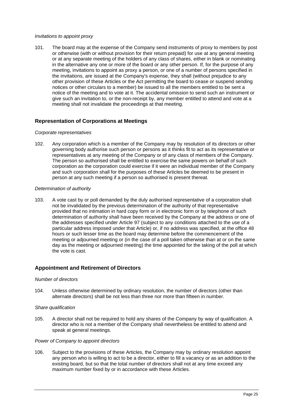#### *Invitations to appoint proxy*

101. The board may at the expense of the Company send instruments of proxy to members by post or otherwise (with or without provision for their return prepaid) for use at any general meeting or at any separate meeting of the holders of any class of shares, either in blank or nominating in the alternative any one or more of the board or any other person. If, for the purpose of any meeting, invitations to appoint as proxy a person, or one of a number of persons specified in the invitations, are issued at the Company's expense, they shall (without prejudice to any other provision of these Articles or the Act permitting the board to cease or suspend sending notices or other circulars to a member) be issued to all the members entitled to be sent a notice of the meeting and to vote at it. The accidental omission to send such an instrument or give such an invitation to, or the non-receipt by, any member entitled to attend and vote at a meeting shall not invalidate the proceedings at that meeting.

# <span id="page-30-0"></span>**Representation of Corporations at Meetings**

### *Corporate representatives*

102. Any corporation which is a member of the Company may by resolution of its directors or other governing body authorise such person or persons as it thinks fit to act as its representative or representatives at any meeting of the Company or of any class of members of the Company. The person so authorised shall be entitled to exercise the same powers on behalf of such corporation as the corporation could exercise if it were an individual member of the Company and such corporation shall for the purposes of these Articles be deemed to be present in person at any such meeting if a person so authorised is present thereat.

### *Determination of authority*

103. A vote cast by or poll demanded by the duly authorised representative of a corporation shall not be invalidated by the previous determination of the authority of that representative provided that no intimation in hard copy form or in electronic form or by telephone of such determination of authority shall have been received by the Company at the address or one of the addresses specified under Article 97 (subject to any conditions attached to the use of a particular address imposed under that Article) or, if no address was specified, at the office 48 hours or such lesser time as the board may determine before the commencement of the meeting or adjourned meeting or (in the case of a poll taken otherwise than at or on the same day as the meeting or adjourned meeting) the time appointed for the taking of the poll at which the vote is cast.

# <span id="page-30-1"></span>**Appointment and Retirement of Directors**

#### *Number of directors*

104. Unless otherwise determined by ordinary resolution, the number of directors (other than alternate directors) shall be not less than three nor more than fifteen in number.

#### *Share qualification*

105. A director shall not be required to hold any shares of the Company by way of qualification. A director who is not a member of the Company shall nevertheless be entitled to attend and speak at general meetings.

## *Power of Company to appoint directors*

106. Subject to the provisions of these Articles, the Company may by ordinary resolution appoint any person who is willing to act to be a director, either to fill a vacancy or as an addition to the existing board, but so that the total number of directors shall not at any time exceed any maximum number fixed by or in accordance with these Articles.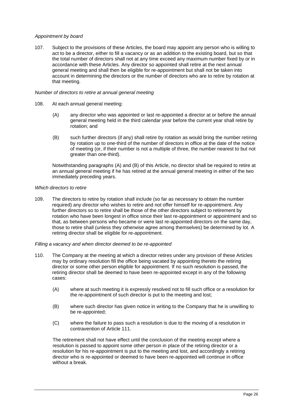# *Appointment by board*

107. Subject to the provisions of these Articles, the board may appoint any person who is willing to act to be a director, either to fill a vacancy or as an addition to the existing board, but so that the total number of directors shall not at any time exceed any maximum number fixed by or in accordance with these Articles. Any director so appointed shall retire at the next annual general meeting and shall then be eligible for re-appointment but shall not be taken into account in determining the directors or the number of directors who are to retire by rotation at that meeting.

#### *Number of directors to retire at annual general meeting*

- 108. At each annual general meeting:
	- (A) any director who was appointed or last re-appointed a director at or before the annual general meeting held in the third calendar year before the current year shall retire by rotation; and
	- (B) such further directors (if any) shall retire by rotation as would bring the number retiring by rotation up to one-third of the number of directors in office at the date of the notice of meeting (or, if their number is not a multiple of three, the number nearest to but not greater than one-third).

Notwithstanding paragraphs (A) and (B) of this Article, no director shall be required to retire at an annual general meeting if he has retired at the annual general meeting in either of the two immediately preceding years.

### *Which directors to retire*

109. The directors to retire by rotation shall include (so far as necessary to obtain the number required) any director who wishes to retire and not offer himself for re-appointment. Any further directors so to retire shall be those of the other directors subject to retirement by rotation who have been longest in office since their last re-appointment or appointment and so that, as between persons who became or were last re-appointed directors on the same day, those to retire shall (unless they otherwise agree among themselves) be determined by lot. A retiring director shall be eligible for re-appointment.

#### *Filling a vacancy and when director deemed to be re-appointed*

- 110. The Company at the meeting at which a director retires under any provision of these Articles may by ordinary resolution fill the office being vacated by appointing thereto the retiring director or some other person eligible for appointment. If no such resolution is passed, the retiring director shall be deemed to have been re-appointed except in any of the following cases:
	- (A) where at such meeting it is expressly resolved not to fill such office or a resolution for the re-appointment of such director is put to the meeting and lost;
	- (B) where such director has given notice in writing to the Company that he is unwilling to be re-appointed;
	- (C) where the failure to pass such a resolution is due to the moving of a resolution in contravention of Article 111.

The retirement shall not have effect until the conclusion of the meeting except where a resolution is passed to appoint some other person in place of the retiring director or a resolution for his re-appointment is put to the meeting and lost, and accordingly a retiring director who is re-appointed or deemed to have been re-appointed will continue in office without a break.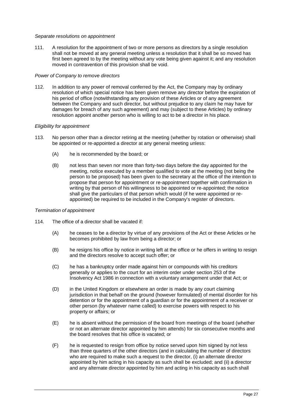#### *Separate resolutions on appointment*

111. A resolution for the appointment of two or more persons as directors by a single resolution shall not be moved at any general meeting unless a resolution that it shall be so moved has first been agreed to by the meeting without any vote being given against it; and any resolution moved in contravention of this provision shall be void.

### *Power of Company to remove directors*

112. In addition to any power of removal conferred by the Act, the Company may by ordinary resolution of which special notice has been given remove any director before the expiration of his period of office (notwithstanding any provision of these Articles or of any agreement between the Company and such director, but without prejudice to any claim he may have for damages for breach of any such agreement) and may (subject to these Articles) by ordinary resolution appoint another person who is willing to act to be a director in his place.

### *Eligibility for appointment*

- 113. No person other than a director retiring at the meeting (whether by rotation or otherwise) shall be appointed or re-appointed a director at any general meeting unless:
	- (A) he is recommended by the board; or
	- (B) not less than seven nor more than forty-two days before the day appointed for the meeting, notice executed by a member qualified to vote at the meeting (not being the person to be proposed) has been given to the secretary at the office of the intention to propose that person for appointment or re-appointment together with confirmation in writing by that person of his willingness to be appointed or re-appointed; the notice shall give the particulars of that person which would (if he were appointed or reappointed) be required to be included in the Company's register of directors.

#### *Termination of appointment*

- 114. The office of a director shall be vacated if:
	- (A) he ceases to be a director by virtue of any provisions of the Act or these Articles or he becomes prohibited by law from being a director; or
	- (B) he resigns his office by notice in writing left at the office or he offers in writing to resign and the directors resolve to accept such offer; or
	- (C) he has a bankruptcy order made against him or compounds with his creditors generally or applies to the court for an interim order under section 253 of the Insolvency Act 1986 in connection with a voluntary arrangement under that Act; or
	- (D) in the United Kingdom or elsewhere an order is made by any court claiming jurisdiction in that behalf on the ground (however formulated) of mental disorder for his detention or for the appointment of a guardian or for the appointment of a receiver or other person (by whatever name called) to exercise powers with respect to his property or affairs; or
	- (E) he is absent without the permission of the board from meetings of the board (whether or not an alternate director appointed by him attends) for six consecutive months and the board resolves that his office is vacated; or
	- (F) he is requested to resign from office by notice served upon him signed by not less than three quarters of the other directors (and in calculating the number of directors who are required to make such a request to the director, (i) an alternate director appointed by him acting in his capacity as such shall be excluded; and (ii) a director and any alternate director appointed by him and acting in his capacity as such shall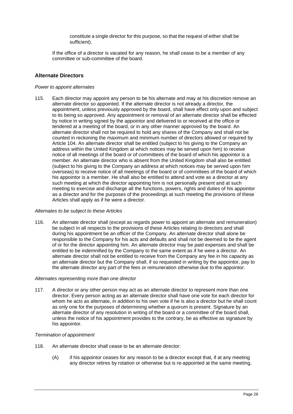constitute a single director for this purpose, so that the request of either shall be sufficient).

If the office of a director is vacated for any reason, he shall cease to be a member of any committee or sub-committee of the board.

# <span id="page-33-0"></span>**Alternate Directors**

#### *Power to appoint alternates*

115. Each director may appoint any person to be his alternate and may at his discretion remove an alternate director so appointed. If the alternate director is not already a director, the appointment, unless previously approved by the board, shall have effect only upon and subject to its being so approved. Any appointment or removal of an alternate director shall be effected by notice in writing signed by the appointor and delivered to or received at the office or tendered at a meeting of the board, or in any other manner approved by the board. An alternate director shall not be required to hold any shares of the Company and shall not be counted in reckoning the maximum and minimum number of directors allowed or required by Article 104. An alternate director shall be entitled (subject to his giving to the Company an address within the United Kingdom at which notices may be served upon him) to receive notice of all meetings of the board or of committees of the board of which his appointor is a member. An alternate director who is absent from the United Kingdom shall also be entitled (subject to his giving to the Company an address at which notices may be served upon him overseas) to receive notice of all meetings of the board or of committees of the board of which his appointor is a member. He shall also be entitled to attend and vote as a director at any such meeting at which the director appointing him is not personally present and at such meeting to exercise and discharge all the functions, powers, rights and duties of his appointor as a director and for the purposes of the proceedings at such meeting the provisions of these Articles shall apply as if he were a director.

#### *Alternates to be subject to these Articles*

116. An alternate director shall (except as regards power to appoint an alternate and remuneration) be subject in all respects to the provisions of these Articles relating to directors and shall during his appointment be an officer of the Company. An alternate director shall alone be responsible to the Company for his acts and defaults and shall not be deemed to be the agent of or for the director appointing him. An alternate director may be paid expenses and shall be entitled to be indemnified by the Company to the same extent as if he were a director. An alternate director shall not be entitled to receive from the Company any fee in his capacity as an alternate director but the Company shall, if so requested in writing by the appointor, pay to the alternate director any part of the fees or remuneration otherwise due to the appointor.

#### *Alternates representing more than one director*

117. A director or any other person may act as an alternate director to represent more than one director. Every person acting as an alternate director shall have one vote for each director for whom he acts as alternate, in addition to his own vote if he is also a director but he shall count as only one for the purposes of determining whether a quorum is present. Signature by an alternate director of any resolution in writing of the board or a committee of the board shall, unless the notice of his appointment provides to the contrary, be as effective as signature by his appointor.

#### *Termination of appointment*

- 118. An alternate director shall cease to be an alternate director:
	- (A) if his appointor ceases for any reason to be a director except that, if at any meeting any director retires by rotation or otherwise but is re-appointed at the same meeting,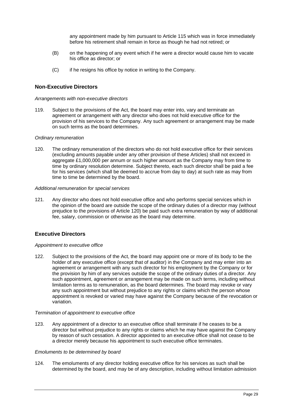any appointment made by him pursuant to Article 115 which was in force immediately before his retirement shall remain in force as though he had not retired; or

- (B) on the happening of any event which if he were a director would cause him to vacate his office as director; or
- (C) if he resigns his office by notice in writing to the Company.

## <span id="page-34-0"></span>**Non-Executive Directors**

### *Arrangements with non-executive directors*

119. Subject to the provisions of the Act, the board may enter into, vary and terminate an agreement or arrangement with any director who does not hold executive office for the provision of his services to the Company. Any such agreement or arrangement may be made on such terms as the board determines.

#### *Ordinary remuneration*

120. The ordinary remuneration of the directors who do not hold executive office for their services (excluding amounts payable under any other provision of these Articles) shall not exceed in aggregate £1,000,000 per annum or such higher amount as the Company may from time to time by ordinary resolution determine. Subject thereto, each such director shall be paid a fee for his services (which shall be deemed to accrue from day to day) at such rate as may from time to time be determined by the board.

#### *Additional remuneration for special services*

121. Any director who does not hold executive office and who performs special services which in the opinion of the board are outside the scope of the ordinary duties of a director may (without prejudice to the provisions of Article 120) be paid such extra remuneration by way of additional fee, salary, commission or otherwise as the board may determine.

# <span id="page-34-1"></span>**Executive Directors**

#### *Appointment to executive office*

122. Subject to the provisions of the Act, the board may appoint one or more of its body to be the holder of any executive office (except that of auditor) in the Company and may enter into an agreement or arrangement with any such director for his employment by the Company or for the provision by him of any services outside the scope of the ordinary duties of a director. Any such appointment, agreement or arrangement may be made on such terms, including without limitation terms as to remuneration, as the board determines. The board may revoke or vary any such appointment but without prejudice to any rights or claims which the person whose appointment is revoked or varied may have against the Company because of the revocation or variation.

### *Termination of appointment to executive office*

123. Any appointment of a director to an executive office shall terminate if he ceases to be a director but without prejudice to any rights or claims which he may have against the Company by reason of such cessation. A director appointed to an executive office shall not cease to be a director merely because his appointment to such executive office terminates.

#### *Emoluments to be determined by board*

124. The emoluments of any director holding executive office for his services as such shall be determined by the board, and may be of any description, including without limitation admission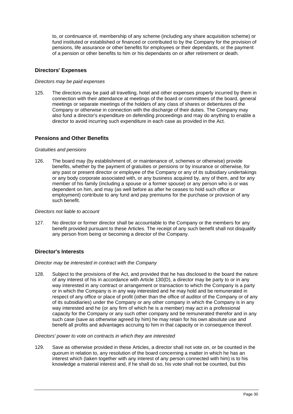to, or continuance of, membership of any scheme (including any share acquisition scheme) or fund instituted or established or financed or contributed to by the Company for the provision of pensions, life assurance or other benefits for employees or their dependants, or the payment of a pension or other benefits to him or his dependants on or after retirement or death.

# <span id="page-35-0"></span>**Directors' Expenses**

### *Directors may be paid expenses*

125. The directors may be paid all travelling, hotel and other expenses properly incurred by them in connection with their attendance at meetings of the board or committees of the board, general meetings or separate meetings of the holders of any class of shares or debentures of the Company or otherwise in connection with the discharge of their duties. The Company may also fund a director's expenditure on defending proceedings and may do anything to enable a director to avoid incurring such expenditure in each case as provided in the Act.

# <span id="page-35-1"></span>**Pensions and Other Benefits**

#### *Gratuities and pensions*

126. The board may (by establishment of, or maintenance of, schemes or otherwise) provide benefits, whether by the payment of gratuities or pensions or by insurance or otherwise, for any past or present director or employee of the Company or any of its subsidiary undertakings or any body corporate associated with, or any business acquired by, any of them, and for any member of his family (including a spouse or a former spouse) or any person who is or was dependent on him, and may (as well before as after he ceases to hold such office or employment) contribute to any fund and pay premiums for the purchase or provision of any such benefit.

#### *Directors not liable to account*

127. No director or former director shall be accountable to the Company or the members for any benefit provided pursuant to these Articles. The receipt of any such benefit shall not disqualify any person from being or becoming a director of the Company.

# <span id="page-35-2"></span>**Director's Interests**

#### *Director may be interested in contract with the Company*

128. Subject to the provisions of the Act, and provided that he has disclosed to the board the nature of any interest of his in accordance with Article 130(D), a director may be party to or in any way interested in any contract or arrangement or transaction to which the Company is a party or in which the Company is in any way interested and he may hold and be remunerated in respect of any office or place of profit (other than the office of auditor of the Company or of any of its subsidiaries) under the Company or any other company in which the Company is in any way interested and he (or any firm of which he is a member) may act in a professional capacity for the Company or any such other company and be remunerated therefor and in any such case (save as otherwise agreed by him) he may retain for his own absolute use and benefit all profits and advantages accruing to him in that capacity or in consequence thereof.

#### *Directors' power to vote on contracts in which they are interested*

129. Save as otherwise provided in these Articles, a director shall not vote on, or be counted in the quorum in relation to, any resolution of the board concerning a matter in which he has an interest which (taken together with any interest of any person connected with him) is to his knowledge a material interest and, if he shall do so, his vote shall not be counted, but this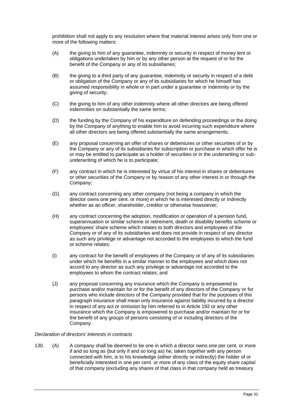prohibition shall not apply to any resolution where that material interest arises only from one or more of the following matters:

- (A) the giving to him of any guarantee, indemnity or security in respect of money lent or obligations undertaken by him or by any other person at the request of or for the benefit of the Company or any of its subsidiaries;
- (B) the giving to a third party of any guarantee, indemnity or security in respect of a debt or obligation of the Company or any of its subsidiaries for which he himself has assumed responsibility in whole or in part under a guarantee or indemnity or by the giving of security;
- (C) the giving to him of any other indemnity where all other directors are being offered indemnities on substantially the same terms;
- (D) the funding by the Company of his expenditure on defending proceedings or the doing by the Company of anything to enable him to avoid incurring such expenditure where all other directors are being offered substantially the same arrangements;
- (E) any proposal concerning an offer of shares or debentures or other securities of or by the Company or any of its subsidiaries for subscription or purchase in which offer he is or may be entitled to participate as a holder of securities or in the underwriting or subunderwriting of which he is to participate;
- (F) any contract in which he is interested by virtue of his interest in shares or debentures or other securities of the Company or by reason of any other interest in or through the Company;
- (G) any contract concerning any other company (not being a company in which the director owns one per cent. or more) in which he is interested directly or indirectly whether as an officer, shareholder, creditor or otherwise howsoever;
- (H) any contract concerning the adoption, modification or operation of a pension fund, superannuation or similar scheme or retirement, death or disability benefits scheme or employees' share scheme which relates to both directors and employees of the Company or of any of its subsidiaries and does not provide in respect of any director as such any privilege or advantage not accorded to the employees to which the fund or scheme relates;
- (I) any contract for the benefit of employees of the Company or of any of its subsidiaries under which he benefits in a similar manner to the employees and which does not accord to any director as such any privilege or advantage not accorded to the employees to whom the contract relates; and
- (J) any proposal concerning any insurance which the Company is empowered to purchase and/or maintain for or for the benefit of any directors of the Company or for persons who include directors of the Company provided that for the purposes of this paragraph insurance shall mean only insurance against liability incurred by a director in respect of any act or omission by him referred to in Article 192 or any other insurance which the Company is empowered to purchase and/or maintain for or for the benefit of any groups of persons consisting of or including directors of the Company.

# *Declaration of directors' interests in contracts*

130. (A) A company shall be deemed to be one in which a director owns one per cent. or more if and so long as (but only if and so long as) he, taken together with any person connected with him, is to his knowledge (either directly or indirectly) the holder of or beneficially interested in one per cent. or more of any class of the equity share capital of that company (excluding any shares of that class in that company held as treasury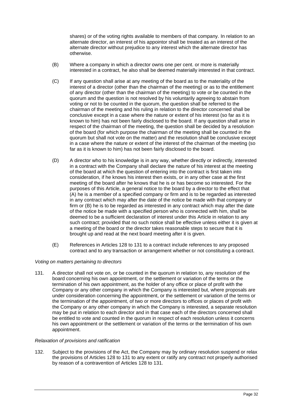shares) or of the voting rights available to members of that company. In relation to an alternate director, an interest of his appointor shall be treated as an interest of the alternate director without prejudice to any interest which the alternate director has otherwise.

- (B) Where a company in which a director owns one per cent. or more is materially interested in a contract, he also shall be deemed materially interested in that contract.
- (C) If any question shall arise at any meeting of the board as to the materiality of the interest of a director (other than the chairman of the meeting) or as to the entitlement of any director (other than the chairman of the meeting) to vote or be counted in the quorum and the question is not resolved by his voluntarily agreeing to abstain from voting or not to be counted in the quorum, the question shall be referred to the chairman of the meeting and his ruling in relation to the director concerned shall be conclusive except in a case where the nature or extent of his interest (so far as it is known to him) has not been fairly disclosed to the board. If any question shall arise in respect of the chairman of the meeting, the question shall be decided by a resolution of the board (for which purpose the chairman of the meeting shall be counted in the quorum but shall not vote on the matter) and the resolution shall be conclusive except in a case where the nature or extent of the interest of the chairman of the meeting (so far as it is known to him) has not been fairly disclosed to the board.
- (D) A director who to his knowledge is in any way, whether directly or indirectly, interested in a contract with the Company shall declare the nature of his interest at the meeting of the board at which the question of entering into the contract is first taken into consideration, if he knows his interest then exists, or in any other case at the first meeting of the board after he knows that he is or has become so interested. For the purposes of this Article, a general notice to the board by a director to the effect that (A) he is a member of a specified company or firm and is to be regarded as interested in any contract which may after the date of the notice be made with that company or firm or (B) he is to be regarded as interested in any contract which may after the date of the notice be made with a specified person who is connected with him, shall be deemed to be a sufficient declaration of interest under this Article in relation to any such contract; provided that no such notice shall be effective unless either it is given at a meeting of the board or the director takes reasonable steps to secure that it is brought up and read at the next board meeting after it is given.
- (E) References in Articles 128 to 131 to a contract include references to any proposed contract and to any transaction or arrangement whether or not constituting a contract.

# *Voting on matters pertaining to directors*

131. A director shall not vote on, or be counted in the quorum in relation to, any resolution of the board concerning his own appointment, or the settlement or variation of the terms or the termination of his own appointment, as the holder of any office or place of profit with the Company or any other company in which the Company is interested but, where proposals are under consideration concerning the appointment, or the settlement or variation of the terms or the termination of the appointment, of two or more directors to offices or places of profit with the Company or any other company in which the Company is interested, a separate resolution may be put in relation to each director and in that case each of the directors concerned shall be entitled to vote and counted in the quorum in respect of each resolution unless it concerns his own appointment or the settlement or variation of the terms or the termination of his own appointment.

#### *Relaxation of provisions and ratification*

132. Subject to the provisions of the Act, the Company may by ordinary resolution suspend or relax the provisions of Articles 128 to 131 to any extent or ratify any contract not properly authorised by reason of a contravention of Articles 128 to 131.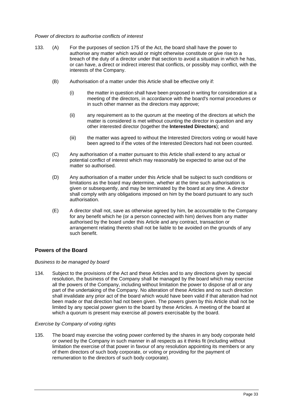#### *Power of directors to authorise conflicts of interest*

- 133. (A) For the purposes of section 175 of the Act, the board shall have the power to authorise any matter which would or might otherwise constitute or give rise to a breach of the duty of a director under that section to avoid a situation in which he has, or can have, a direct or indirect interest that conflicts, or possibly may conflict, with the interests of the Company.
	- (B) Authorisation of a matter under this Article shall be effective only if:
		- (i) the matter in question shall have been proposed in writing for consideration at a meeting of the directors, in accordance with the board's normal procedures or in such other manner as the directors may approve;
		- (ii) any requirement as to the quorum at the meeting of the directors at which the matter is considered is met without counting the director in question and any other interested director (together the **Interested Directors**); and
		- (iii) the matter was agreed to without the Interested Directors voting or would have been agreed to if the votes of the Interested Directors had not been counted.
	- (C) Any authorisation of a matter pursuant to this Article shall extend to any actual or potential conflict of interest which may reasonably be expected to arise out of the matter so authorised.
	- (D) Any authorisation of a matter under this Article shall be subject to such conditions or limitations as the board may determine, whether at the time such authorisation is given or subsequently, and may be terminated by the board at any time. A director shall comply with any obligations imposed on him by the board pursuant to any such authorisation.
	- (E) A director shall not, save as otherwise agreed by him, be accountable to the Company for any benefit which he (or a person connected with him) derives from any matter authorised by the board under this Article and any contract, transaction or arrangement relating thereto shall not be liable to be avoided on the grounds of any such benefit.

# <span id="page-38-0"></span>**Powers of the Board**

#### *Business to be managed by board*

134. Subject to the provisions of the Act and these Articles and to any directions given by special resolution, the business of the Company shall be managed by the board which may exercise all the powers of the Company, including without limitation the power to dispose of all or any part of the undertaking of the Company. No alteration of these Articles and no such direction shall invalidate any prior act of the board which would have been valid if that alteration had not been made or that direction had not been given. The powers given by this Article shall not be limited by any special power given to the board by these Articles. A meeting of the board at which a quorum is present may exercise all powers exercisable by the board.

# *Exercise by Company of voting rights*

135. The board may exercise the voting power conferred by the shares in any body corporate held or owned by the Company in such manner in all respects as it thinks fit (including without limitation the exercise of that power in favour of any resolution appointing its members or any of them directors of such body corporate, or voting or providing for the payment of remuneration to the directors of such body corporate).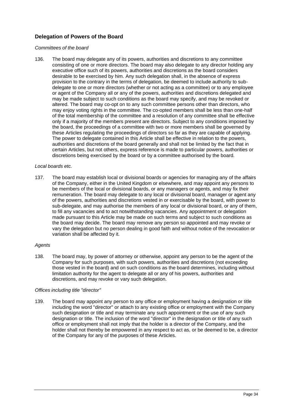# <span id="page-39-0"></span>**Delegation of Powers of the Board**

#### *Committees of the board*

136. The board may delegate any of its powers, authorities and discretions to any committee consisting of one or more directors. The board may also delegate to any director holding any executive office such of its powers, authorities and discretions as the board considers desirable to be exercised by him. Any such delegation shall, in the absence of express provision to the contrary in the terms of delegation, be deemed to include authority to subdelegate to one or more directors (whether or not acting as a committee) or to any employee or agent of the Company all or any of the powers, authorities and discretions delegated and may be made subject to such conditions as the board may specify, and may be revoked or altered. The board may co-opt on to any such committee persons other than directors, who may enjoy voting rights in the committee. The co-opted members shall be less than one-half of the total membership of the committee and a resolution of any committee shall be effective only if a majority of the members present are directors. Subject to any conditions imposed by the board, the proceedings of a committee with two or more members shall be governed by these Articles regulating the proceedings of directors so far as they are capable of applying. The power to delegate contained in this Article shall be effective in relation to the powers, authorities and discretions of the board generally and shall not be limited by the fact that in certain Articles, but not others, express reference is made to particular powers, authorities or discretions being exercised by the board or by a committee authorised by the board.

#### *Local boards etc.*

137. The board may establish local or divisional boards or agencies for managing any of the affairs of the Company, either in the United Kingdom or elsewhere, and may appoint any persons to be members of the local or divisional boards, or any managers or agents, and may fix their remuneration. The board may delegate to any local or divisional board, manager or agent any of the powers, authorities and discretions vested in or exercisable by the board, with power to sub-delegate, and may authorise the members of any local or divisional board, or any of them, to fill any vacancies and to act notwithstanding vacancies. Any appointment or delegation made pursuant to this Article may be made on such terms and subject to such conditions as the board may decide. The board may remove any person so appointed and may revoke or vary the delegation but no person dealing in good faith and without notice of the revocation or variation shall be affected by it.

#### *Agents*

138. The board may, by power of attorney or otherwise, appoint any person to be the agent of the Company for such purposes, with such powers, authorities and discretions (not exceeding those vested in the board) and on such conditions as the board determines, including without limitation authority for the agent to delegate all or any of his powers, authorities and discretions, and may revoke or vary such delegation.

# *Offices including title "director"*

139. The board may appoint any person to any office or employment having a designation or title including the word "director" or attach to any existing office or employment with the Company such designation or title and may terminate any such appointment or the use of any such designation or title. The inclusion of the word "director" in the designation or title of any such office or employment shall not imply that the holder is a director of the Company, and the holder shall not thereby be empowered in any respect to act as, or be deemed to be, a director of the Company for any of the purposes of these Articles.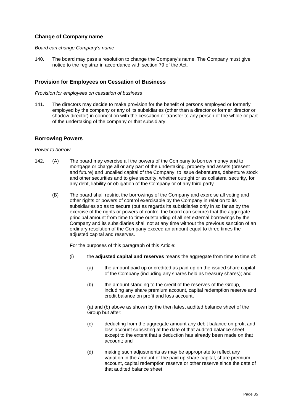# <span id="page-40-0"></span>**Change of Company name**

## *Board can change Company's name*

140. The board may pass a resolution to change the Company's name. The Company must give notice to the registrar in accordance with section 79 of the Act.

# <span id="page-40-1"></span>**Provision for Employees on Cessation of Business**

#### *Provision for employees on cessation of business*

141. The directors may decide to make provision for the benefit of persons employed or formerly employed by the company or any of its subsidiaries (other than a director or former director or shadow director) in connection with the cessation or transfer to any person of the whole or part of the undertaking of the company or that subsidiary.

# <span id="page-40-2"></span>**Borrowing Powers**

### *Power to borrow*

- 142. (A) The board may exercise all the powers of the Company to borrow money and to mortgage or charge all or any part of the undertaking, property and assets (present and future) and uncalled capital of the Company, to issue debentures, debenture stock and other securities and to give security, whether outright or as collateral security, for any debt, liability or obligation of the Company or of any third party.
	- (B) The board shall restrict the borrowings of the Company and exercise all voting and other rights or powers of control exercisable by the Company in relation to its subsidiaries so as to secure (but as regards its subsidiaries only in so far as by the exercise of the rights or powers of control the board can secure) that the aggregate principal amount from time to time outstanding of all net external borrowings by the Company and its subsidiaries shall not at any time without the previous sanction of an ordinary resolution of the Company exceed an amount equal to three times the adjusted capital and reserves.

For the purposes of this paragraph of this Article:

- (i) the **adjusted capital and reserves** means the aggregate from time to time of:
	- (a) the amount paid up or credited as paid up on the issued share capital of the Company (including any shares held as treasury shares); and
	- (b) the amount standing to the credit of the reserves of the Group, including any share premium account, capital redemption reserve and credit balance on profit and loss account,

(a) and (b) above as shown by the then latest audited balance sheet of the Group but after:

- (c) deducting from the aggregate amount any debit balance on profit and loss account subsisting at the date of that audited balance sheet except to the extent that a deduction has already been made on that account; and
- (d) making such adjustments as may be appropriate to reflect any variation in the amount of the paid up share capital, share premium account, capital redemption reserve or other reserve since the date of that audited balance sheet.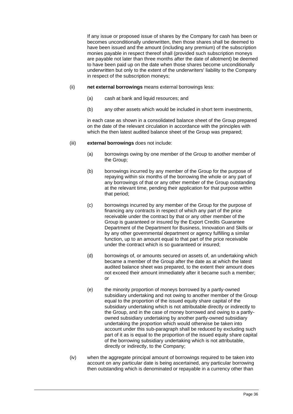If any issue or proposed issue of shares by the Company for cash has been or becomes unconditionally underwritten, then those shares shall be deemed to have been issued and the amount (including any premium) of the subscription monies payable in respect thereof shall (provided such subscription moneys are payable not later than three months after the date of allotment) be deemed to have been paid up on the date when those shares become unconditionally underwritten but only to the extent of the underwriters' liability to the Company in respect of the subscription moneys;

- (ii) **net external borrowings** means external borrowings less:
	- (a) cash at bank and liquid resources; and
	- (b) any other assets which would be included in short term investments,

in each case as shown in a consolidated balance sheet of the Group prepared on the date of the relevant circulation in accordance with the principles with which the then latest audited balance sheet of the Group was prepared;

### (iii) **external borrowings** does not include:

- (a) borrowings owing by one member of the Group to another member of the Group;
- (b) borrowings incurred by any member of the Group for the purpose of repaying within six months of the borrowing the whole or any part of any borrowings of that or any other member of the Group outstanding at the relevant time, pending their application for that purpose within that period;
- (c) borrowings incurred by any member of the Group for the purpose of financing any contracts in respect of which any part of the price receivable under the contract by that or any other member of the Group is guaranteed or insured by the Export Credits Guarantee Department of the Department for Business, Innovation and Skills or by any other governmental department or agency fulfilling a similar function, up to an amount equal to that part of the price receivable under the contract which is so guaranteed or insured;
- (d) borrowings of, or amounts secured on assets of, an undertaking which became a member of the Group after the date as at which the latest audited balance sheet was prepared, to the extent their amount does not exceed their amount immediately after it became such a member; or
- (e) the minority proportion of moneys borrowed by a partly-owned subsidiary undertaking and not owing to another member of the Group equal to the proportion of the issued equity share capital of the subsidiary undertaking which is not attributable directly or indirectly to the Group, and in the case of money borrowed and owing to a partlyowned subsidiary undertaking by another partly-owned subsidiary undertaking the proportion which would otherwise be taken into account under this sub-paragraph shall be reduced by excluding such part of it as is equal to the proportion of the issued equity share capital of the borrowing subsidiary undertaking which is not attributable, directly or indirectly, to the Company;
- (iv) when the aggregate principal amount of borrowings required to be taken into account on any particular date is being ascertained, any particular borrowing then outstanding which is denominated or repayable in a currency other than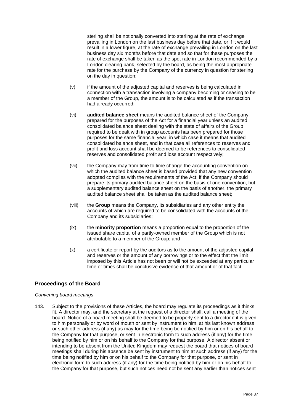sterling shall be notionally converted into sterling at the rate of exchange prevailing in London on the last business day before that date, or if it would result in a lower figure, at the rate of exchange prevailing in London on the last business day six months before that date and so that for these purposes the rate of exchange shall be taken as the spot rate in London recommended by a London clearing bank, selected by the board, as being the most appropriate rate for the purchase by the Company of the currency in question for sterling on the day in question;

- (v) if the amount of the adjusted capital and reserves is being calculated in connection with a transaction involving a company becoming or ceasing to be a member of the Group, the amount is to be calculated as if the transaction had already occurred;
- (vi) **audited balance sheet** means the audited balance sheet of the Company prepared for the purposes of the Act for a financial year unless an audited consolidated balance sheet dealing with the state of affairs of the Group required to be dealt with in group accounts has been prepared for those purposes for the same financial year, in which case it means that audited consolidated balance sheet, and in that case all references to reserves and profit and loss account shall be deemed to be references to consolidated reserves and consolidated profit and loss account respectively;
- (vii) the Company may from time to time change the accounting convention on which the audited balance sheet is based provided that any new convention adopted complies with the requirements of the Act; if the Company should prepare its primary audited balance sheet on the basis of one convention, but a supplementary audited balance sheet on the basis of another, the primary audited balance sheet shall be taken as the audited balance sheet;
- (viii) the **Group** means the Company, its subsidiaries and any other entity the accounts of which are required to be consolidated with the accounts of the Company and its subsidiaries;
- (ix) the **minority proportion** means a proportion equal to the proportion of the issued share capital of a partly-owned member of the Group which is not attributable to a member of the Group; and
- (x) a certificate or report by the auditors as to the amount of the adjusted capital and reserves or the amount of any borrowings or to the effect that the limit imposed by this Article has not been or will not be exceeded at any particular time or times shall be conclusive evidence of that amount or of that fact.

# <span id="page-42-0"></span>**Proceedings of the Board**

# *Convening board meetings*

143. Subject to the provisions of these Articles, the board may regulate its proceedings as it thinks fit. A director may, and the secretary at the request of a director shall, call a meeting of the board. Notice of a board meeting shall be deemed to be properly sent to a director if it is given to him personally or by word of mouth or sent by instrument to him, at his last known address or such other address (if any) as may for the time being be notified by him or on his behalf to the Company for that purpose, or sent in electronic form to such address (if any) for the time being notified by him or on his behalf to the Company for that purpose. A director absent or intending to be absent from the United Kingdom may request the board that notices of board meetings shall during his absence be sent by instrument to him at such address (if any) for the time being notified by him or on his behalf to the Company for that purpose, or sent in electronic form to such address (if any) for the time being notified by him or on his behalf to the Company for that purpose, but such notices need not be sent any earlier than notices sent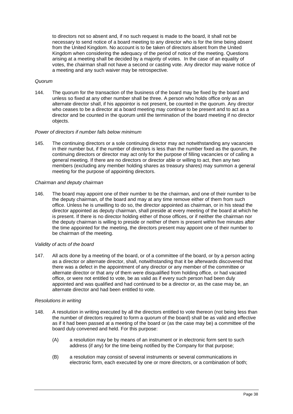to directors not so absent and, if no such request is made to the board, it shall not be necessary to send notice of a board meeting to any director who is for the time being absent from the United Kingdom. No account is to be taken of directors absent from the United Kingdom when considering the adequacy of the period of notice of the meeting. Questions arising at a meeting shall be decided by a majority of votes. In the case of an equality of votes, the chairman shall not have a second or casting vote. Any director may waive notice of a meeting and any such waiver may be retrospective.

# *Quorum*

144. The quorum for the transaction of the business of the board may be fixed by the board and unless so fixed at any other number shall be three. A person who holds office only as an alternate director shall, if his appointor is not present, be counted in the quorum. Any director who ceases to be a director at a board meeting may continue to be present and to act as a director and be counted in the quorum until the termination of the board meeting if no director objects.

### *Power of directors if number falls below minimum*

145. The continuing directors or a sole continuing director may act notwithstanding any vacancies in their number but, if the number of directors is less than the number fixed as the quorum, the continuing directors or director may act only for the purpose of filling vacancies or of calling a general meeting. If there are no directors or director able or willing to act, then any two members (excluding any member holding shares as treasury shares) may summon a general meeting for the purpose of appointing directors.

### *Chairman and deputy chairman*

146. The board may appoint one of their number to be the chairman, and one of their number to be the deputy chairman, of the board and may at any time remove either of them from such office. Unless he is unwilling to do so, the director appointed as chairman, or in his stead the director appointed as deputy chairman, shall preside at every meeting of the board at which he is present. If there is no director holding either of those offices, or if neither the chairman nor the deputy chairman is willing to preside or neither of them is present within five minutes after the time appointed for the meeting, the directors present may appoint one of their number to be chairman of the meeting.

# *Validity of acts of the board*

147. All acts done by a meeting of the board, or of a committee of the board, or by a person acting as a director or alternate director, shall, notwithstanding that it be afterwards discovered that there was a defect in the appointment of any director or any member of the committee or alternate director or that any of them were disqualified from holding office, or had vacated office, or were not entitled to vote, be as valid as if every such person had been duly appointed and was qualified and had continued to be a director or, as the case may be, an alternate director and had been entitled to vote.

#### *Resolutions in writing*

- 148. A resolution in writing executed by all the directors entitled to vote thereon (not being less than the number of directors required to form a quorum of the board) shall be as valid and effective as if it had been passed at a meeting of the board or (as the case may be) a committee of the board duly convened and held. For this purpose:
	- (A) a resolution may be by means of an instrument or in electronic form sent to such address (if any) for the time being notified by the Company for that purpose;
	- (B) a resolution may consist of several instruments or several communications in electronic form, each executed by one or more directors, or a combination of both;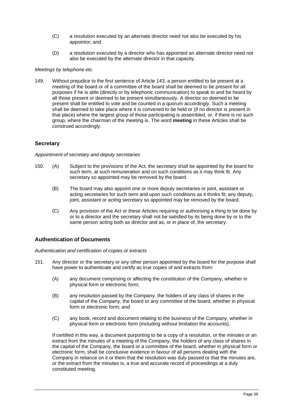- (C) a resolution executed by an alternate director need not also be executed by his appointor; and
- (D) a resolution executed by a director who has appointed an alternate director need not also be executed by the alternate director in that capacity.

### *Meetings by telephone etc.*

149. Without prejudice to the first sentence of Article 143, a person entitled to be present at a meeting of the board or of a committee of the board shall be deemed to be present for all purposes if he is able (directly or by telephonic communication) to speak to and be heard by all those present or deemed to be present simultaneously. A director so deemed to be present shall be entitled to vote and be counted in a quorum accordingly. Such a meeting shall be deemed to take place where it is convened to be held or (if no director is present in that place) where the largest group of those participating is assembled, or, if there is no such group, where the chairman of the meeting is. The word **meeting** in these Articles shall be construed accordingly.

# <span id="page-44-0"></span>**Secretary**

#### *Appointment of secretary and deputy secretaries*

- 150. (A) Subject to the provisions of the Act, the secretary shall be appointed by the board for such term, at such remuneration and on such conditions as it may think fit. Any secretary so appointed may be removed by the board.
	- (B) The board may also appoint one or more deputy secretaries or joint, assistant or acting secretaries for such term and upon such conditions as it thinks fit; any deputy, joint, assistant or acting secretary so appointed may be removed by the board.
	- (C) Any provision of the Act or these Articles requiring or authorising a thing to be done by or to a director and the secretary shall not be satisfied by its being done by or to the same person acting both as director and as, or in place of, the secretary.

# <span id="page-44-1"></span>**Authentication of Documents**

## *Authentication and certification of copies or extracts*

- 151. Any director or the secretary or any other person appointed by the board for the purpose shall have power to authenticate and certify as true copies of and extracts from:
	- (A) any document comprising or affecting the constitution of the Company, whether in physical form or electronic form;
	- (B) any resolution passed by the Company, the holders of any class of shares in the capital of the Company, the board or any committee of the board, whether in physical form or electronic form; and
	- (C) any book, record and document relating to the business of the Company, whether in physical form or electronic form (including without limitation the accounts).

If certified in this way, a document purporting to be a copy of a resolution, or the minutes or an extract from the minutes of a meeting of the Company, the holders of any class of shares in the capital of the Company, the board or a committee of the board, whether in physical form or electronic form, shall be conclusive evidence in favour of all persons dealing with the Company in reliance on it or them that the resolution was duly passed or that the minutes are, or the extract from the minutes is, a true and accurate record of proceedings at a duly constituted meeting.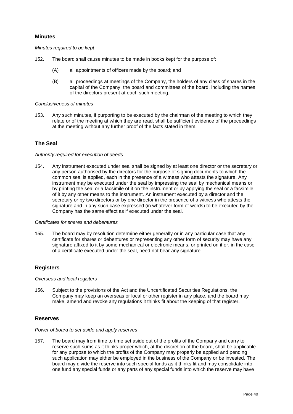# <span id="page-45-0"></span>**Minutes**

*Minutes required to be kept*

- 152. The board shall cause minutes to be made in books kept for the purpose of:
	- (A) all appointments of officers made by the board; and
	- (B) all proceedings at meetings of the Company, the holders of any class of shares in the capital of the Company, the board and committees of the board, including the names of the directors present at each such meeting.

#### *Conclusiveness of minutes*

153. Any such minutes, if purporting to be executed by the chairman of the meeting to which they relate or of the meeting at which they are read, shall be sufficient evidence of the proceedings at the meeting without any further proof of the facts stated in them.

# <span id="page-45-1"></span>**The Seal**

#### *Authority required for execution of deeds*

154. Any instrument executed under seal shall be signed by at least one director or the secretary or any person authorised by the directors for the purpose of signing documents to which the common seal is applied, each in the presence of a witness who attests the signature. Any instrument may be executed under the seal by impressing the seal by mechanical means or by printing the seal or a facsimile of it on the instrument or by applying the seal or a facsimile of it by any other means to the instrument. An instrument executed by a director and the secretary or by two directors or by one director in the presence of a witness who attests the signature and in any such case expressed (in whatever form of words) to be executed by the Company has the same effect as if executed under the seal.

#### *Certificates for shares and debentures*

155. The board may by resolution determine either generally or in any particular case that any certificate for shares or debentures or representing any other form of security may have any signature affixed to it by some mechanical or electronic means, or printed on it or, in the case of a certificate executed under the seal, need not bear any signature.

# <span id="page-45-2"></span>**Registers**

*Overseas and local registers*

156. Subject to the provisions of the Act and the Uncertificated Securities Regulations, the Company may keep an overseas or local or other register in any place, and the board may make, amend and revoke any regulations it thinks fit about the keeping of that register.

# <span id="page-45-3"></span>**Reserves**

#### *Power of board to set aside and apply reserves*

157. The board may from time to time set aside out of the profits of the Company and carry to reserve such sums as it thinks proper which, at the discretion of the board, shall be applicable for any purpose to which the profits of the Company may properly be applied and pending such application may either be employed in the business of the Company or be invested. The board may divide the reserve into such special funds as it thinks fit and may consolidate into one fund any special funds or any parts of any special funds into which the reserve may have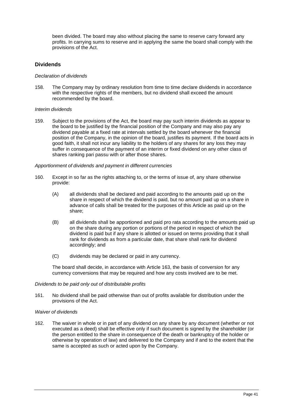been divided. The board may also without placing the same to reserve carry forward any profits. In carrying sums to reserve and in applying the same the board shall comply with the provisions of the Act.

# <span id="page-46-0"></span>**Dividends**

#### *Declaration of dividends*

158. The Company may by ordinary resolution from time to time declare dividends in accordance with the respective rights of the members, but no dividend shall exceed the amount recommended by the board.

#### *Interim dividends*

159. Subject to the provisions of the Act, the board may pay such interim dividends as appear to the board to be justified by the financial position of the Company and may also pay any dividend payable at a fixed rate at intervals settled by the board whenever the financial position of the Company, in the opinion of the board, justifies its payment. If the board acts in good faith, it shall not incur any liability to the holders of any shares for any loss they may suffer in consequence of the payment of an interim or fixed dividend on any other class of shares ranking pari passu with or after those shares.

#### *Apportionment of dividends and payment in different currencies*

- 160. Except in so far as the rights attaching to, or the terms of issue of, any share otherwise provide:
	- (A) all dividends shall be declared and paid according to the amounts paid up on the share in respect of which the dividend is paid, but no amount paid up on a share in advance of calls shall be treated for the purposes of this Article as paid up on the share;
	- (B) all dividends shall be apportioned and paid pro rata according to the amounts paid up on the share during any portion or portions of the period in respect of which the dividend is paid but if any share is allotted or issued on terms providing that it shall rank for dividends as from a particular date, that share shall rank for dividend accordingly; and
	- (C) dividends may be declared or paid in any currency.

The board shall decide, in accordance with Article 163, the basis of conversion for any currency conversions that may be required and how any costs involved are to be met.

#### *Dividends to be paid only out of distributable profits*

161. No dividend shall be paid otherwise than out of profits available for distribution under the provisions of the Act.

#### *Waiver of dividends*

162. The waiver in whole or in part of any dividend on any share by any document (whether or not executed as a deed) shall be effective only if such document is signed by the shareholder (or the person entitled to the share in consequence of the death or bankruptcy of the holder or otherwise by operation of law) and delivered to the Company and if and to the extent that the same is accepted as such or acted upon by the Company.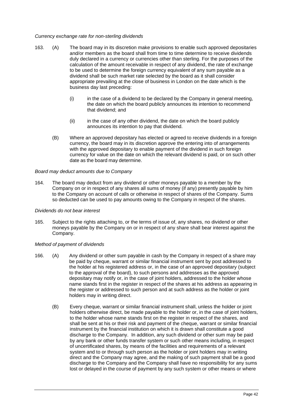## *Currency exchange rate for non-sterling dividends*

- 163. (A) The board may in its discretion make provisions to enable such approved depositaries and/or members as the board shall from time to time determine to receive dividends duly declared in a currency or currencies other than sterling. For the purposes of the calculation of the amount receivable in respect of any dividend, the rate of exchange to be used to determine the foreign currency equivalent of any sum payable as a dividend shall be such market rate selected by the board as it shall consider appropriate prevailing at the close of business in London on the date which is the business day last preceding:
	- (i) in the case of a dividend to be declared by the Company in general meeting, the date on which the board publicly announces its intention to recommend that dividend; and
	- (ii) in the case of any other dividend, the date on which the board publicly announces its intention to pay that dividend.
	- (B) Where an approved depositary has elected or agreed to receive dividends in a foreign currency, the board may in its discretion approve the entering into of arrangements with the approved depositary to enable payment of the dividend in such foreign currency for value on the date on which the relevant dividend is paid, or on such other date as the board may determine.

#### *Board may deduct amounts due to Company*

164. The board may deduct from any dividend or other moneys payable to a member by the Company on or in respect of any shares all sums of money (if any) presently payable by him to the Company on account of calls or otherwise in respect of shares of the Company. Sums so deducted can be used to pay amounts owing to the Company in respect of the shares.

#### *Dividends do not bear interest*

165. Subject to the rights attaching to, or the terms of issue of, any shares, no dividend or other moneys payable by the Company on or in respect of any share shall bear interest against the Company.

# *Method of payment of dividends*

- 166. (A) Any dividend or other sum payable in cash by the Company in respect of a share may be paid by cheque, warrant or similar financial instrument sent by post addressed to the holder at his registered address or, in the case of an approved depositary (subject to the approval of the board), to such persons and addresses as the approved depositary may notify or, in the case of joint holders, addressed to the holder whose name stands first in the register in respect of the shares at his address as appearing in the register or addressed to such person and at such address as the holder or joint holders may in writing direct.
	- (B) Every cheque, warrant or similar financial instrument shall, unless the holder or joint holders otherwise direct, be made payable to the holder or, in the case of joint holders, to the holder whose name stands first on the register in respect of the shares, and shall be sent at his or their risk and payment of the cheque, warrant or similar financial instrument by the financial institution on which it is drawn shall constitute a good discharge to the Company. In addition, any such dividend or other sum may be paid by any bank or other funds transfer system or such other means including, in respect of uncertificated shares, by means of the facilities and requirements of a relevant system and to or through such person as the holder or joint holders may in writing direct and the Company may agree, and the making of such payment shall be a good discharge to the Company and the Company shall have no responsibility for any sums lost or delayed in the course of payment by any such system or other means or where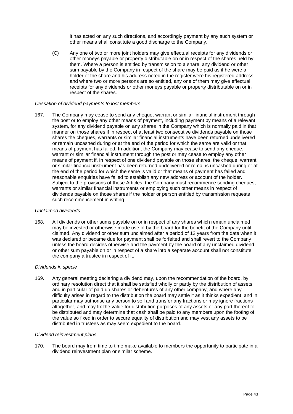it has acted on any such directions, and accordingly payment by any such system or other means shall constitute a good discharge to the Company.

(C) Any one of two or more joint holders may give effectual receipts for any dividends or other moneys payable or property distributable on or in respect of the shares held by them. Where a person is entitled by transmission to a share, any dividend or other sum payable by the Company in respect of the share may be paid as if he were a holder of the share and his address noted in the register were his registered address and where two or more persons are so entitled, any one of them may give effectual receipts for any dividends or other moneys payable or property distributable on or in respect of the shares.

#### *Cessation of dividend payments to lost members*

167. The Company may cease to send any cheque, warrant or similar financial instrument through the post or to employ any other means of payment, including payment by means of a relevant system, for any dividend payable on any shares in the Company which is normally paid in that manner on those shares if in respect of at least two consecutive dividends payable on those shares the cheques, warrants or similar financial instruments have been returned undelivered or remain uncashed during or at the end of the period for which the same are valid or that means of payment has failed. In addition, the Company may cease to send any cheque, warrant or similar financial instrument through the post or may cease to employ any other means of payment if, in respect of one dividend payable on those shares, the cheque, warrant or similar financial instrument has been returned undelivered or remains uncashed during or at the end of the period for which the same is valid or that means of payment has failed and reasonable enquiries have failed to establish any new address or account of the holder. Subject to the provisions of these Articles, the Company must recommence sending cheques, warrants or similar financial instruments or employing such other means in respect of dividends payable on those shares if the holder or person entitled by transmission requests such recommencement in writing.

#### *Unclaimed dividends*

168. All dividends or other sums payable on or in respect of any shares which remain unclaimed may be invested or otherwise made use of by the board for the benefit of the Company until claimed. Any dividend or other sum unclaimed after a period of 12 years from the date when it was declared or became due for payment shall be forfeited and shall revert to the Company unless the board decides otherwise and the payment by the board of any unclaimed dividend or other sum payable on or in respect of a share into a separate account shall not constitute the company a trustee in respect of it.

# *Dividends in specie*

169. Any general meeting declaring a dividend may, upon the recommendation of the board, by ordinary resolution direct that it shall be satisfied wholly or partly by the distribution of assets, and in particular of paid up shares or debentures of any other company, and where any difficulty arises in regard to the distribution the board may settle it as it thinks expedient, and in particular may authorise any person to sell and transfer any fractions or may ignore fractions altogether, and may fix the value for distribution purposes of any assets or any part thereof to be distributed and may determine that cash shall be paid to any members upon the footing of the value so fixed in order to secure equality of distribution and may vest any assets to be distributed in trustees as may seem expedient to the board.

#### *Dividend reinvestment plans*

170. The board may from time to time make available to members the opportunity to participate in a dividend reinvestment plan or similar scheme.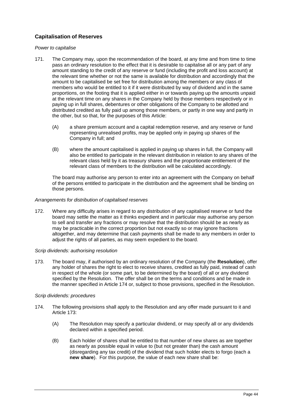# <span id="page-49-0"></span>**Capitalisation of Reserves**

## *Power to capitalise*

- 171. The Company may, upon the recommendation of the board, at any time and from time to time pass an ordinary resolution to the effect that it is desirable to capitalise all or any part of any amount standing to the credit of any reserve or fund (including the profit and loss account) at the relevant time whether or not the same is available for distribution and accordingly that the amount to be capitalised be set free for distribution among the members or any class of members who would be entitled to it if it were distributed by way of dividend and in the same proportions, on the footing that it is applied either in or towards paying up the amounts unpaid at the relevant time on any shares in the Company held by those members respectively or in paying up in full shares, debentures or other obligations of the Company to be allotted and distributed credited as fully paid up among those members, or partly in one way and partly in the other, but so that, for the purposes of this Article:
	- (A) a share premium account and a capital redemption reserve, and any reserve or fund representing unrealised profits, may be applied only in paying up shares of the Company in full; and
	- (B) where the amount capitalised is applied in paying up shares in full, the Company will also be entitled to participate in the relevant distribution in relation to any shares of the relevant class held by it as treasury shares and the proportionate entitlement of the relevant class of members to the distribution will be calculated accordingly.

The board may authorise any person to enter into an agreement with the Company on behalf of the persons entitled to participate in the distribution and the agreement shall be binding on those persons.

### *Arrangements for distribution of capitalised reserves*

172. Where any difficulty arises in regard to any distribution of any capitalised reserve or fund the board may settle the matter as it thinks expedient and in particular may authorise any person to sell and transfer any fractions or may resolve that the distribution should be as nearly as may be practicable in the correct proportion but not exactly so or may ignore fractions altogether, and may determine that cash payments shall be made to any members in order to adjust the rights of all parties, as may seem expedient to the board.

#### *Scrip dividends: authorising resolution*

173. The board may, if authorised by an ordinary resolution of the Company (the **Resolution**), offer any holder of shares the right to elect to receive shares, credited as fully paid, instead of cash in respect of the whole (or some part, to be determined by the board) of all or any dividend specified by the Resolution. The offer shall be on the terms and conditions and be made in the manner specified in Article 174 or, subject to those provisions, specified in the Resolution.

#### *Scrip dividends: procedures*

- 174. The following provisions shall apply to the Resolution and any offer made pursuant to it and Article 173:
	- (A) The Resolution may specify a particular dividend, or may specify all or any dividends declared within a specified period.
	- (B) Each holder of shares shall be entitled to that number of new shares as are together as nearly as possible equal in value to (but not greater than) the cash amount (disregarding any tax credit) of the dividend that such holder elects to forgo (each a **new share**). For this purpose, the value of each new share shall be: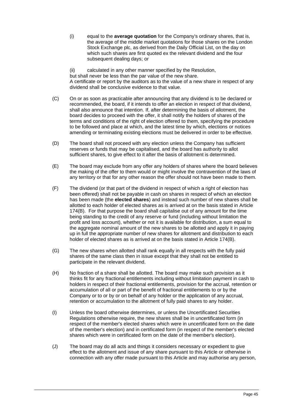(i) equal to the **average quotation** for the Company's ordinary shares, that is, the average of the middle market quotations for those shares on the London Stock Exchange plc, as derived from the Daily Official List, on the day on which such shares are first quoted ex the relevant dividend and the four subsequent dealing days; or

(ii) calculated in any other manner specified by the Resolution, but shall never be less than the par value of the new share. A certificate or report by the auditors as to the value of a new share in respect of any dividend shall be conclusive evidence to that value.

- (C) On or as soon as practicable after announcing that any dividend is to be declared or recommended, the board, if it intends to offer an election in respect of that dividend, shall also announce that intention. If, after determining the basis of allotment, the board decides to proceed with the offer, it shall notify the holders of shares of the terms and conditions of the right of election offered to them, specifying the procedure to be followed and place at which, and the latest time by which, elections or notices amending or terminating existing elections must be delivered in order to be effective.
- (D) The board shall not proceed with any election unless the Company has sufficient reserves or funds that may be capitalised, and the board has authority to allot sufficient shares, to give effect to it after the basis of allotment is determined.
- (E) The board may exclude from any offer any holders of shares where the board believes the making of the offer to them would or might involve the contravention of the laws of any territory or that for any other reason the offer should not have been made to them.
- (F) The dividend (or that part of the dividend in respect of which a right of election has been offered) shall not be payable in cash on shares in respect of which an election has been made (the **elected shares**) and instead such number of new shares shall be allotted to each holder of elected shares as is arrived at on the basis stated in Article 174(B). For that purpose the board shall capitalise out of any amount for the time being standing to the credit of any reserve or fund (including without limitation the profit and loss account), whether or not it is available for distribution, a sum equal to the aggregate nominal amount of the new shares to be allotted and apply it in paying up in full the appropriate number of new shares for allotment and distribution to each holder of elected shares as is arrived at on the basis stated in Article 174(B).
- (G) The new shares when allotted shall rank equally in all respects with the fully paid shares of the same class then in issue except that they shall not be entitled to participate in the relevant dividend.
- (H) No fraction of a share shall be allotted. The board may make such provision as it thinks fit for any fractional entitlements including without limitation payment in cash to holders in respect of their fractional entitlements, provision for the accrual, retention or accumulation of all or part of the benefit of fractional entitlements to or by the Company or to or by or on behalf of any holder or the application of any accrual, retention or accumulation to the allotment of fully paid shares to any holder.
- (I) Unless the board otherwise determines, or unless the Uncertificated Securities Regulations otherwise require, the new shares shall be in uncertificated form (in respect of the member's elected shares which were in uncertificated form on the date of the member's election) and in certificated form (in respect of the member's elected shares which were in certificated form on the date of the member's election).
- (J) The board may do all acts and things it considers necessary or expedient to give effect to the allotment and issue of any share pursuant to this Article or otherwise in connection with any offer made pursuant to this Article and may authorise any person,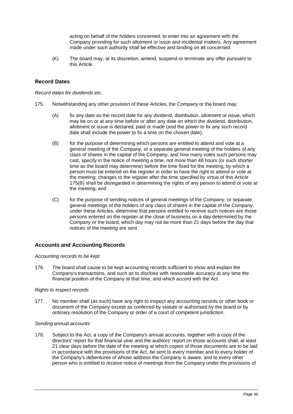acting on behalf of the holders concerned, to enter into an agreement with the Company providing for such allotment or issue and incidental matters. Any agreement made under such authority shall be effective and binding on all concerned.

(K) The board may, at its discretion, amend, suspend or terminate any offer pursuant to this Article.

# <span id="page-51-0"></span>**Record Dates**

*Record dates for dividends etc.*

- 175. Notwithstanding any other provision of these Articles, the Company or the board may:
	- (A) fix any date as the record date for any dividend, distribution, allotment or issue, which may be on or at any time before or after any date on which the dividend, distribution, allotment or issue is declared, paid or made (and the power to fix any such record date shall include the power to fix a time on the chosen date);
	- (B) for the purpose of determining which persons are entitled to attend and vote at a general meeting of the Company, or a separate general meeting of the holders of any class of shares in the capital of the Company, and how many votes such persons may cast, specify in the notice of meeting a time, not more than 48 hours (or such shorter time as the board may determine) before the time fixed for the meeting, by which a person must be entered on the register in order to have the right to attend or vote at the meeting; changes to the register after the time specified by virtue of this Article 175(B) shall be disregarded in determining the rights of any person to attend or vote at the meeting; and
	- (C) for the purpose of sending notices of general meetings of the Company, or separate general meetings of the holders of any class of shares in the capital of the Company, under these Articles, determine that persons entitled to receive such notices are those persons entered on the register at the close of business on a day determined by the Company or the board, which day may not be more than 21 days before the day that notices of the meeting are sent.

# <span id="page-51-1"></span>**Accounts and Accounting Records**

#### *Accounting records to be kept*

176. The board shall cause to be kept accounting records sufficient to show and explain the Company's transactions, and such as to disclose with reasonable accuracy at any time the financial position of the Company at that time, and which accord with the Act.

# *Rights to inspect records*

177. No member shall (as such) have any right to inspect any accounting records or other book or document of the Company except as conferred by statute or authorised by the board or by ordinary resolution of the Company or order of a court of competent jurisdiction.

#### *Sending annual accounts*

178. Subject to the Act, a copy of the Company's annual accounts, together with a copy of the directors' report for that financial year and the auditors' report on those accounts shall, at least 21 clear days before the date of the meeting at which copies of those documents are to be laid in accordance with the provisions of the Act, be sent to every member and to every holder of the Company's debentures of whose address the Company is aware, and to every other person who is entitled to receive notice of meetings from the Company under the provisions of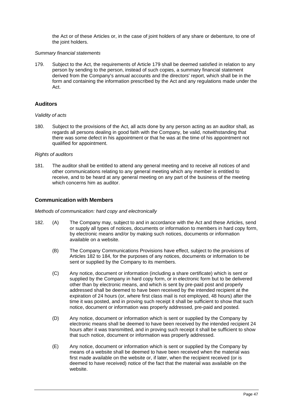the Act or of these Articles or, in the case of joint holders of any share or debenture, to one of the joint holders.

#### *Summary financial statements*

179. Subject to the Act, the requirements of Article 179 shall be deemed satisfied in relation to any person by sending to the person, instead of such copies, a summary financial statement derived from the Company's annual accounts and the directors' report, which shall be in the form and containing the information prescribed by the Act and any regulations made under the Act.

# <span id="page-52-0"></span>**Auditors**

### *Validity of acts*

180. Subject to the provisions of the Act, all acts done by any person acting as an auditor shall, as regards all persons dealing in good faith with the Company, be valid, notwithstanding that there was some defect in his appointment or that he was at the time of his appointment not qualified for appointment.

#### *Rights of auditors*

181. The auditor shall be entitled to attend any general meeting and to receive all notices of and other communications relating to any general meeting which any member is entitled to receive, and to be heard at any general meeting on any part of the business of the meeting which concerns him as auditor.

# **Communication with Members**

#### *Methods of communication: hard copy and electronically*

- 182. (A) The Company may, subject to and in accordance with the Act and these Articles, send or supply all types of notices, documents or information to members in hard copy form, by electronic means and/or by making such notices, documents or information available on a website.
	- (B) The Company Communications Provisions have effect, subject to the provisions of Articles 182 to 184, for the purposes of any notices, documents or information to be sent or supplied by the Company to its members.
	- (C) Any notice, document or information (including a share certificate) which is sent or supplied by the Company in hard copy form, or in electronic form but to be delivered other than by electronic means, and which is sent by pre-paid post and properly addressed shall be deemed to have been received by the intended recipient at the expiration of 24 hours (or, where first class mail is not employed, 48 hours) after the time it was posted, and in proving such receipt it shall be sufficient to show that such notice, document or information was properly addressed, pre-paid and posted.
	- (D) Any notice, document or information which is sent or supplied by the Company by electronic means shall be deemed to have been received by the intended recipient 24 hours after it was transmitted, and in proving such receipt it shall be sufficient to show that such notice, document or information was properly addressed.
	- (E) Any notice, document or information which is sent or supplied by the Company by means of a website shall be deemed to have been received when the material was first made available on the website or, if later, when the recipient received (or is deemed to have received) notice of the fact that the material was available on the website.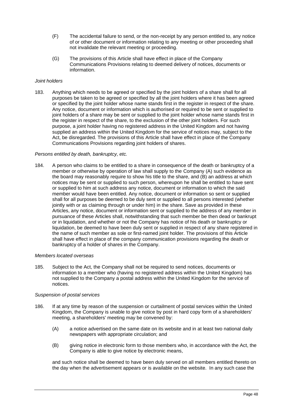- (F) The accidental failure to send, or the non-receipt by any person entitled to, any notice of or other document or information relating to any meeting or other proceeding shall not invalidate the relevant meeting or proceeding.
- (G) The provisions of this Article shall have effect in place of the Company Communications Provisions relating to deemed delivery of notices, documents or information.

### *Joint holders*

183. Anything which needs to be agreed or specified by the joint holders of a share shall for all purposes be taken to be agreed or specified by all the joint holders where it has been agreed or specified by the joint holder whose name stands first in the register in respect of the share. Any notice, document or information which is authorised or required to be sent or supplied to joint holders of a share may be sent or supplied to the joint holder whose name stands first in the register in respect of the share, to the exclusion of the other joint holders. For such purpose, a joint holder having no registered address in the United Kingdom and not having supplied an address within the United Kingdom for the service of notices may, subject to the Act, be disregarded. The provisions of this Article shall have effect in place of the Company Communications Provisions regarding joint holders of shares.

#### *Persons entitled by death, bankruptcy, etc.*

184. A person who claims to be entitled to a share in consequence of the death or bankruptcy of a member or otherwise by operation of law shall supply to the Company (A) such evidence as the board may reasonably require to show his title to the share, and (B) an address at which notices may be sent or supplied to such person, whereupon he shall be entitled to have sent or supplied to him at such address any notice, document or information to which the said member would have been entitled. Any notice, document or information so sent or supplied shall for all purposes be deemed to be duly sent or supplied to all persons interested (whether jointly with or as claiming through or under him) in the share. Save as provided in these Articles, any notice, document or information sent or supplied to the address of any member in pursuance of these Articles shall, notwithstanding that such member be then dead or bankrupt or in liquidation, and whether or not the Company has notice of his death or bankruptcy or liquidation, be deemed to have been duly sent or supplied in respect of any share registered in the name of such member as sole or first-named joint holder. The provisions of this Article shall have effect in place of the company communication provisions regarding the death or bankruptcy of a holder of shares in the Company.

#### *Members located overseas*

185. Subject to the Act, the Company shall not be required to send notices, documents or information to a member who (having no registered address within the United Kingdom) has not supplied to the Company a postal address within the United Kingdom for the service of notices.

#### *Suspension of postal services*

- 186. If at any time by reason of the suspension or curtailment of postal services within the United Kingdom, the Company is unable to give notice by post in hard copy form of a shareholders' meeting, a shareholders' meeting may be convened by:
	- (A) a notice advertised on the same date on its website and in at least two national daily newspapers with appropriate circulation; and
	- (B) giving notice in electronic form to those members who, in accordance with the Act, the Company is able to give notice by electronic means,

and such notice shall be deemed to have been duly served on all members entitled thereto on the day when the advertisement appears or is available on the website. In any such case the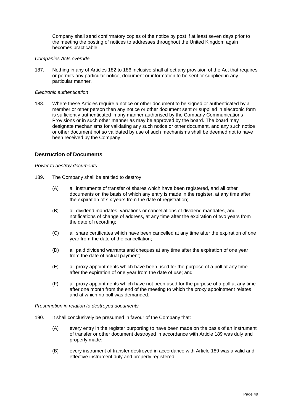Company shall send confirmatory copies of the notice by post if at least seven days prior to the meeting the posting of notices to addresses throughout the United Kingdom again becomes practicable.

#### *Companies Acts override*

187. Nothing in any of Articles 182 to 186 inclusive shall affect any provision of the Act that requires or permits any particular notice, document or information to be sent or supplied in any particular manner.

#### *Electronic authentication*

188. Where these Articles require a notice or other document to be signed or authenticated by a member or other person then any notice or other document sent or supplied in electronic form is sufficiently authenticated in any manner authorised by the Company Communications Provisions or in such other manner as may be approved by the board. The board may designate mechanisms for validating any such notice or other document, and any such notice or other document not so validated by use of such mechanisms shall be deemed not to have been received by the Company.

### **Destruction of Documents**

#### *Power to destroy documents*

- 189. The Company shall be entitled to destroy:
	- (A) all instruments of transfer of shares which have been registered, and all other documents on the basis of which any entry is made in the register, at any time after the expiration of six years from the date of registration;
	- (B) all dividend mandates, variations or cancellations of dividend mandates, and notifications of change of address, at any time after the expiration of two years from the date of recording;
	- (C) all share certificates which have been cancelled at any time after the expiration of one year from the date of the cancellation;
	- (D) all paid dividend warrants and cheques at any time after the expiration of one year from the date of actual payment;
	- (E) all proxy appointments which have been used for the purpose of a poll at any time after the expiration of one year from the date of use; and
	- (F) all proxy appointments which have not been used for the purpose of a poll at any time after one month from the end of the meeting to which the proxy appointment relates and at which no poll was demanded.

*Presumption in relation to destroyed documents*

- 190. It shall conclusively be presumed in favour of the Company that:
	- (A) every entry in the register purporting to have been made on the basis of an instrument of transfer or other document destroyed in accordance with Article 189 was duly and properly made;
	- (B) every instrument of transfer destroyed in accordance with Article 189 was a valid and effective instrument duly and properly registered;